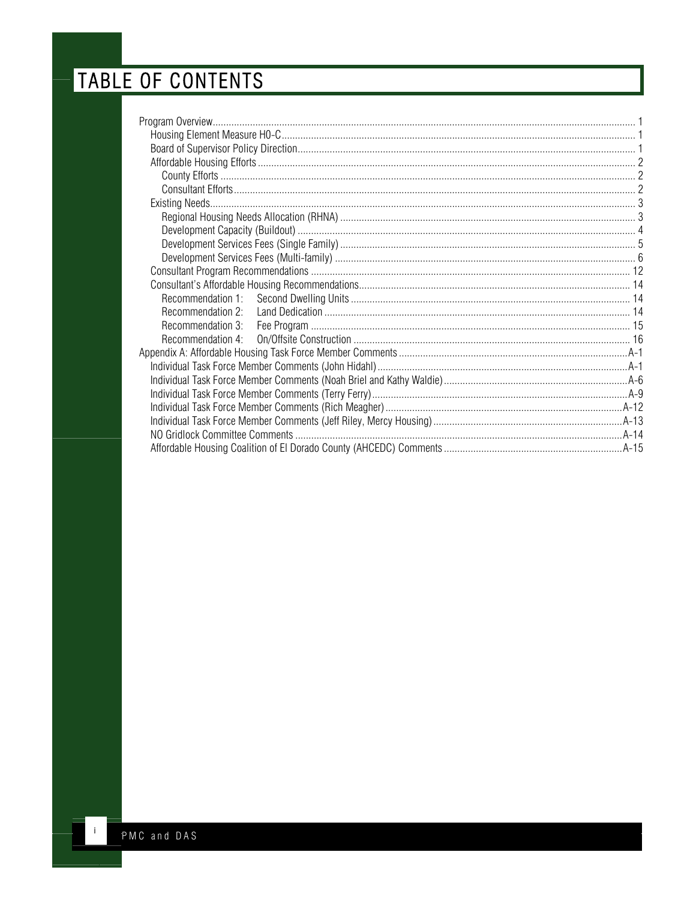# TABLE OF CONTENTS

| Recommendation 3: |  |
|-------------------|--|
| Recommendation 4: |  |
|                   |  |
|                   |  |
|                   |  |
|                   |  |
|                   |  |
|                   |  |
|                   |  |
|                   |  |

 $\mathbf{J}_\mathrm{c}$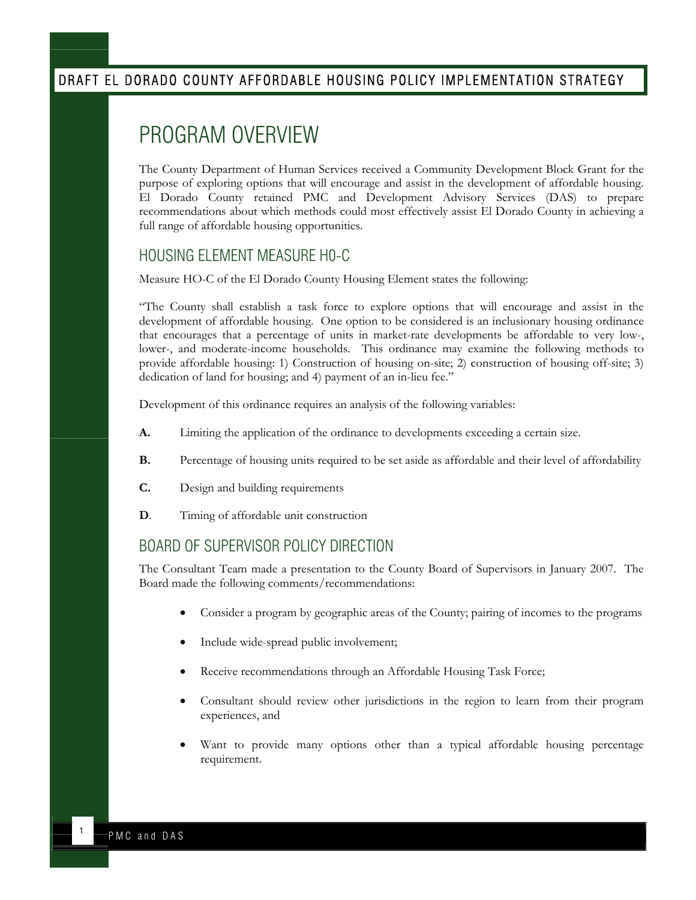# <span id="page-1-0"></span>PROGRAM OVERVIEW

The County Department of Human Services received a Community Development Block Grant for the purpose of exploring options that will encourage and assist in the development of affordable housing. El Dorado County retained PMC and Development Advisory Services (DAS) to prepare recommendations about which methods could most effectively assist El Dorado County in achieving a full range of affordable housing opportunities.

#### HOUSING ELEMENT MEASURE H0-C

Measure HO-C of the El Dorado County Housing Element states the following:

"The County shall establish a task force to explore options that will encourage and assist in the development of affordable housing. One option to be considered is an inclusionary housing ordinance that encourages that a percentage of units in market-rate developments be affordable to very low-, lower-, and moderate-income households. This ordinance may examine the following methods to provide affordable housing: 1) Construction of housing on-site; 2) construction of housing off-site; 3) dedication of land for housing; and 4) payment of an in-lieu fee."

Development of this ordinance requires an analysis of the following variables:

- **A.** Limiting the application of the ordinance to developments exceeding a certain size.
- **B.** Percentage of housing units required to be set aside as affordable and their level of affordability
- **C.** Design and building requirements
- **D.** Timing of affordable unit construction

#### BOARD OF SUPERVISOR POLICY DIRECTION

The Consultant Team made a presentation to the County Board of Supervisors in January 2007. The Board made the following comments/recommendations:

- Consider a program by geographic areas of the County; pairing of incomes to the programs
- Include wide-spread public involvement;
- Receive recommendations through an Affordable Housing Task Force;
- Consultant should review other jurisdictions in the region to learn from their program experiences, and
- Want to provide many options other than a typical affordable housing percentage requirement.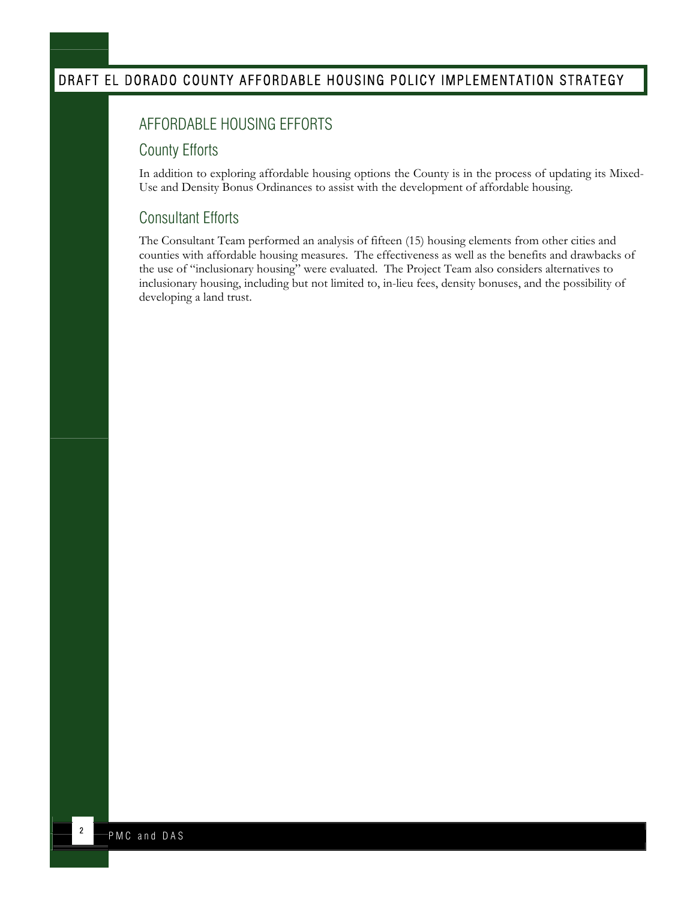## <span id="page-2-0"></span>AFFORDABLE HOUSING EFFORTS

#### County Efforts

In addition to exploring affordable housing options the County is in the process of updating its Mixed-Use and Density Bonus Ordinances to assist with the development of affordable housing.

#### Consultant Efforts

The Consultant Team performed an analysis of fifteen (15) housing elements from other cities and counties with affordable housing measures. The effectiveness as well as the benefits and drawbacks of the use of "inclusionary housing" were evaluated. The Project Team also considers alternatives to inclusionary housing, including but not limited to, in-lieu fees, density bonuses, and the possibility of developing a land trust.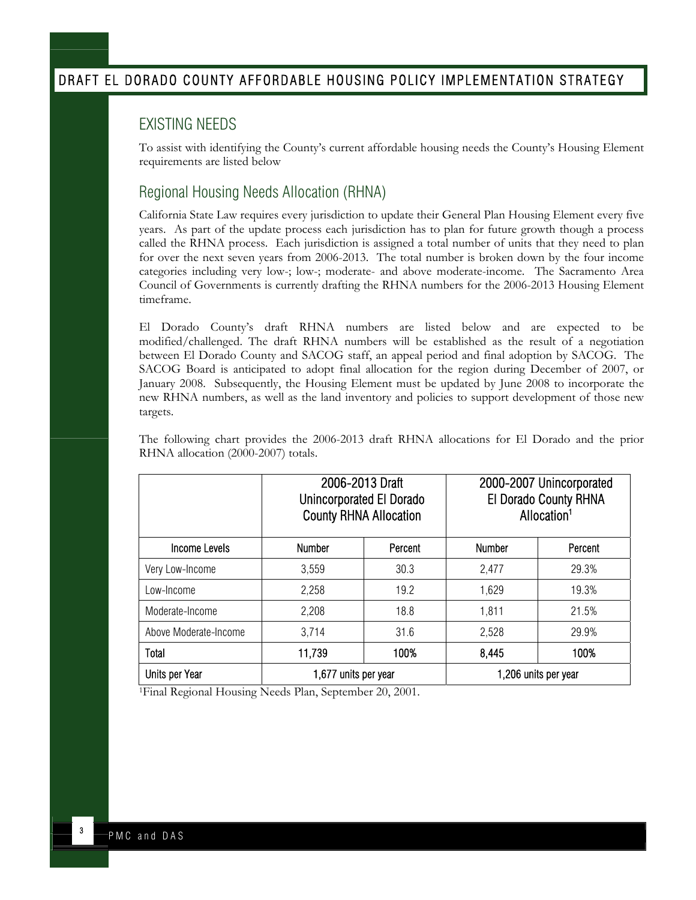#### <span id="page-3-0"></span>EXISTING NEEDS

To assist with identifying the County's current affordable housing needs the County's Housing Element requirements are listed below

#### Regional Housing Needs Allocation (RHNA)

California State Law requires every jurisdiction to update their General Plan Housing Element every five years. As part of the update process each jurisdiction has to plan for future growth though a process called the RHNA process. Each jurisdiction is assigned a total number of units that they need to plan for over the next seven years from 2006-2013. The total number is broken down by the four income categories including very low-; low-; moderate- and above moderate-income. The Sacramento Area Council of Governments is currently drafting the RHNA numbers for the 2006-2013 Housing Element timeframe.

El Dorado County's draft RHNA numbers are listed below and are expected to be modified/challenged. The draft RHNA numbers will be established as the result of a negotiation between El Dorado County and SACOG staff, an appeal period and final adoption by SACOG. The SACOG Board is anticipated to adopt final allocation for the region during December of 2007, or January 2008. Subsequently, the Housing Element must be updated by June 2008 to incorporate the new RHNA numbers, as well as the land inventory and policies to support development of those new targets.

|                       | 2006-2013 Draft<br>Unincorporated El Dorado<br><b>County RHNA Allocation</b> |         |               | 2000-2007 Unincorporated<br>El Dorado County RHNA<br>Allocation <sup>1</sup> |
|-----------------------|------------------------------------------------------------------------------|---------|---------------|------------------------------------------------------------------------------|
| Income Levels         | <b>Number</b>                                                                | Percent | <b>Number</b> | Percent                                                                      |
| Very Low-Income       | 3,559                                                                        | 30.3    | 2,477         | 29.3%                                                                        |
| Low-Income            | 2,258                                                                        | 19.2    | 1,629         | 19.3%                                                                        |
| Moderate-Income       | 2.208                                                                        | 18.8    | 1,811         | 21.5%                                                                        |
| Above Moderate-Income | 3,714                                                                        | 31.6    | 2,528         | 29.9%                                                                        |
| Total                 | 11,739                                                                       | 100%    | 8,445         | 100%                                                                         |
| <b>Units per Year</b> | 1,677 units per year                                                         |         |               | 1,206 units per year                                                         |

The following chart provides the 2006-2013 draft RHNA allocations for El Dorado and the prior RHNA allocation (2000-2007) totals.

1Final Regional Housing Needs Plan, September 20, 2001.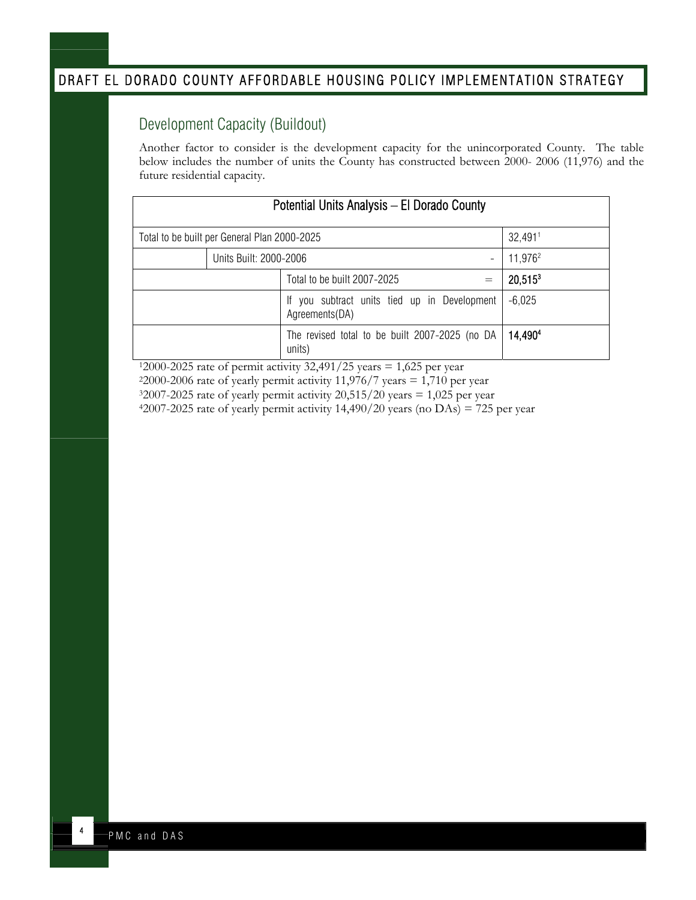## <span id="page-4-0"></span>Development Capacity (Buildout)

Another factor to consider is the development capacity for the unincorporated County. The table below includes the number of units the County has constructed between 2000- 2006 (11,976) and the future residential capacity.

| Potential Units Analysis - El Dorado County             |                                                                |                     |  |
|---------------------------------------------------------|----------------------------------------------------------------|---------------------|--|
| 32,4911<br>Total to be built per General Plan 2000-2025 |                                                                |                     |  |
| Units Built: 2000-2006                                  | $\overline{\phantom{a}}$                                       | 11,976 <sup>2</sup> |  |
|                                                         | Total to be built 2007-2025<br>$=$                             | $20,515^3$          |  |
|                                                         | If you subtract units tied up in Development<br>Agreements(DA) | $-6,025$            |  |
|                                                         | The revised total to be built 2007-2025 (no DA<br>units)       | 14.4904             |  |

 $12000-2025$  rate of permit activity 32,491/25 years = 1,625 per year -2006 rate of yearly permit activity 11,976/7 years = 1,710 per year -2025 rate of yearly permit activity 20,515/20 years = 1,025 per year -2025 rate of yearly permit activity 14,490/20 years (no DAs) = 725 per year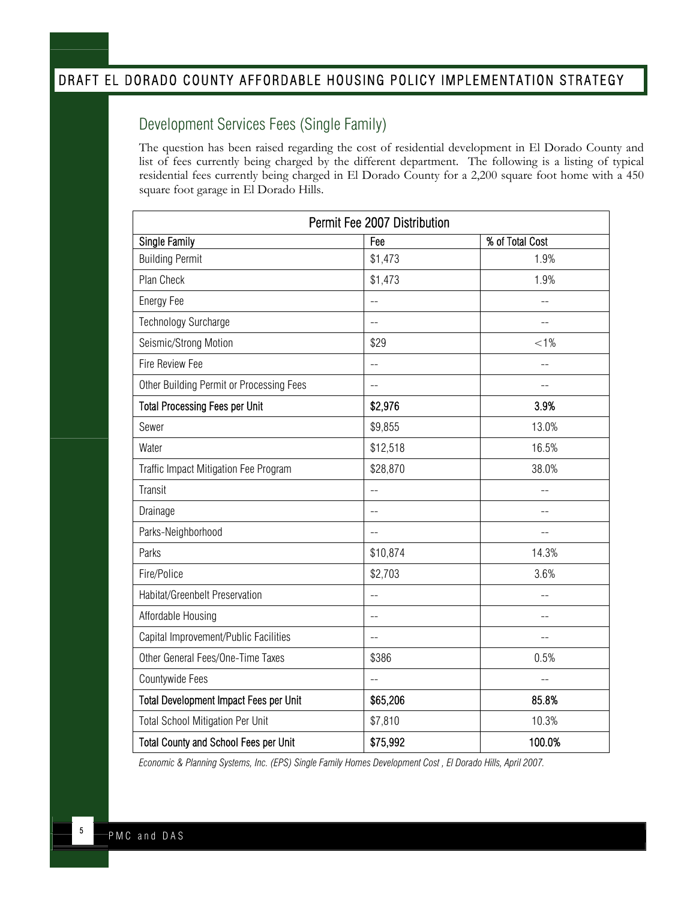## <span id="page-5-0"></span>Development Services Fees (Single Family)

The question has been raised regarding the cost of residential development in El Dorado County and list of fees currently being charged by the different department. The following is a listing of typical residential fees currently being charged in El Dorado County for a 2,200 square foot home with a 450 square foot garage in El Dorado Hills.

| Permit Fee 2007 Distribution                  |                |                          |
|-----------------------------------------------|----------------|--------------------------|
| <b>Single Family</b>                          | Fee            | % of Total Cost          |
| <b>Building Permit</b>                        | \$1,473        | 1.9%                     |
| Plan Check                                    | \$1,473        | 1.9%                     |
| Energy Fee                                    | LL.            | $=$                      |
| Technology Surcharge                          | $\overline{a}$ |                          |
| Seismic/Strong Motion                         | \$29           | $< 1\%$                  |
| <b>Fire Review Fee</b>                        | --             | $\overline{\phantom{a}}$ |
| Other Building Permit or Processing Fees      | --             |                          |
| <b>Total Processing Fees per Unit</b>         | \$2,976        | 3.9%                     |
| Sewer                                         | \$9,855        | 13.0%                    |
| Water                                         | \$12,518       | 16.5%                    |
| Traffic Impact Mitigation Fee Program         | \$28,870       | 38.0%                    |
| Transit                                       | $\overline{a}$ | $=$                      |
| Drainage                                      | $=$            |                          |
| Parks-Neighborhood                            | --             |                          |
| Parks                                         | \$10,874       | 14.3%                    |
| Fire/Police                                   | \$2,703        | 3.6%                     |
| Habitat/Greenbelt Preservation                | --             |                          |
| Affordable Housing                            | $=$            |                          |
| Capital Improvement/Public Facilities         | --             |                          |
| Other General Fees/One-Time Taxes             | \$386          | 0.5%                     |
| Countywide Fees                               | $\overline{a}$ | $\overline{\phantom{a}}$ |
| <b>Total Development Impact Fees per Unit</b> | \$65,206       | 85.8%                    |
| <b>Total School Mitigation Per Unit</b>       | \$7,810        | 10.3%                    |
| <b>Total County and School Fees per Unit</b>  | \$75,992       | 100.0%                   |

*Economic & Planning Systems, Inc. (EPS) Single Family Homes Development Cost , El Dorado Hills, April 2007.*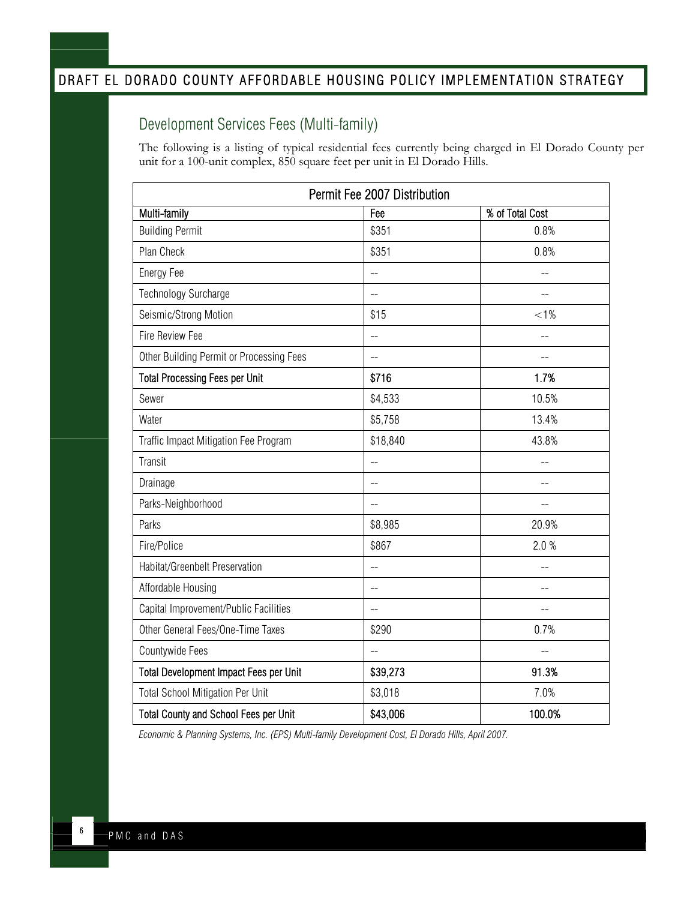# <span id="page-6-0"></span>Development Services Fees (Multi-family)

The following is a listing of typical residential fees currently being charged in El Dorado County per unit for a 100-unit complex, 850 square feet per unit in El Dorado Hills.

| Permit Fee 2007 Distribution |                 |  |  |
|------------------------------|-----------------|--|--|
| Fee                          | % of Total Cost |  |  |
| \$351                        | 0.8%            |  |  |
| \$351                        | 0.8%            |  |  |
| $\overline{a}$               |                 |  |  |
| $\equiv$                     | $\sim$ $\sim$   |  |  |
| \$15                         | $< 1\%$         |  |  |
| $\equiv$                     | $\sim$          |  |  |
|                              |                 |  |  |
| \$716                        | 1.7%            |  |  |
| \$4,533                      | 10.5%           |  |  |
| \$5,758                      | 13.4%           |  |  |
| \$18,840                     | 43.8%           |  |  |
| $\overline{a}$               | $\sim$          |  |  |
| $\sim$                       |                 |  |  |
| $\equiv$                     | $\sim$          |  |  |
| \$8,985                      | 20.9%           |  |  |
| \$867                        | 2.0%            |  |  |
|                              |                 |  |  |
|                              |                 |  |  |
|                              |                 |  |  |
| \$290                        | 0.7%            |  |  |
| $\sim$                       | $\sim$          |  |  |
| \$39,273                     | 91.3%           |  |  |
| \$3,018                      | 7.0%            |  |  |
| \$43,006                     | 100.0%          |  |  |
|                              |                 |  |  |

*Economic & Planning Systems, Inc. (EPS) Multi-family Development Cost, El Dorado Hills, April 2007.*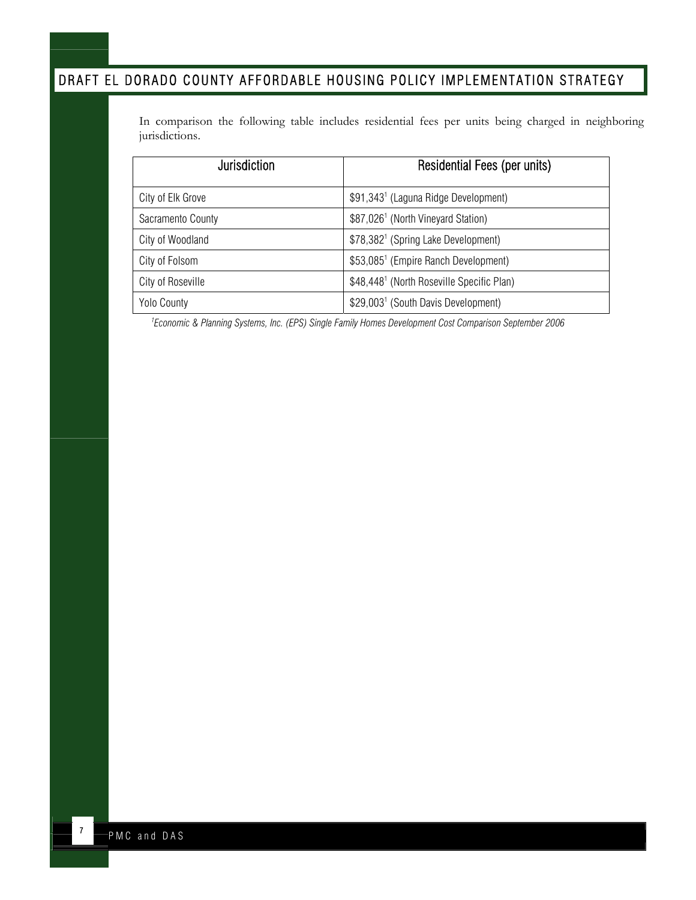In comparison the following table includes residential fees per units being charged in neighboring jurisdictions.

| Jurisdiction       | <b>Residential Fees (per units)</b>                   |
|--------------------|-------------------------------------------------------|
| City of Elk Grove  | \$91,343 <sup>1</sup> (Laguna Ridge Development)      |
| Sacramento County  | \$87,026 <sup>1</sup> (North Vineyard Station)        |
| City of Woodland   | \$78,382 <sup>1</sup> (Spring Lake Development)       |
| City of Folsom     | \$53,085 <sup>1</sup> (Empire Ranch Development)      |
| City of Roseville  | \$48,448 <sup>1</sup> (North Roseville Specific Plan) |
| <b>Yolo County</b> | \$29,003 <sup>1</sup> (South Davis Development)       |

*1 Economic & Planning Systems, Inc. (EPS) Single Family Homes Development Cost Comparison September 2006*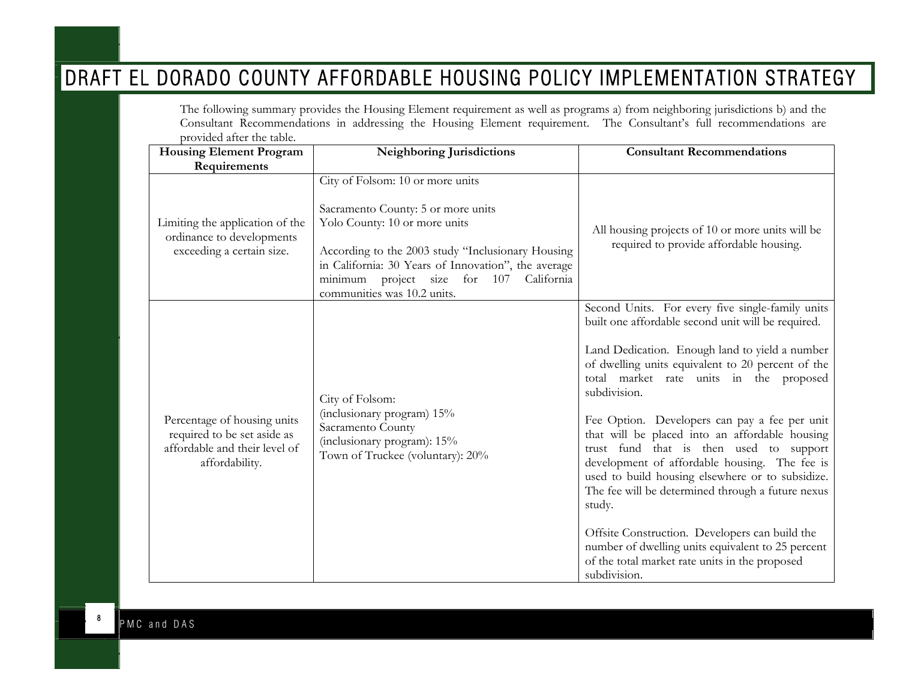The following summary provides the Housing Element requirement as well as programs a) from neighboring jurisdictions b) and the Consultant Recommendations in addressing the Housing Element requirement. The Consultant's full recommendations are provided after the table.

| <b>Housing Element Program</b>                                                                                | Neighboring Jurisdictions                                                                                                                                                                                                                                                                        | <b>Consultant Recommendations</b>                                                                                                                                                                                                                                                                                                                                                                                                                                                                                                                                                                                                                                                                                                                                   |
|---------------------------------------------------------------------------------------------------------------|--------------------------------------------------------------------------------------------------------------------------------------------------------------------------------------------------------------------------------------------------------------------------------------------------|---------------------------------------------------------------------------------------------------------------------------------------------------------------------------------------------------------------------------------------------------------------------------------------------------------------------------------------------------------------------------------------------------------------------------------------------------------------------------------------------------------------------------------------------------------------------------------------------------------------------------------------------------------------------------------------------------------------------------------------------------------------------|
| Requirements                                                                                                  |                                                                                                                                                                                                                                                                                                  |                                                                                                                                                                                                                                                                                                                                                                                                                                                                                                                                                                                                                                                                                                                                                                     |
| Limiting the application of the<br>ordinance to developments<br>exceeding a certain size.                     | City of Folsom: 10 or more units<br>Sacramento County: 5 or more units<br>Yolo County: 10 or more units<br>According to the 2003 study "Inclusionary Housing<br>in California: 30 Years of Innovation", the average<br>minimum project size for 107<br>California<br>communities was 10.2 units. | All housing projects of 10 or more units will be<br>required to provide affordable housing.                                                                                                                                                                                                                                                                                                                                                                                                                                                                                                                                                                                                                                                                         |
| Percentage of housing units<br>required to be set aside as<br>affordable and their level of<br>affordability. | City of Folsom:<br>(inclusionary program) 15%<br>Sacramento County<br>(inclusionary program): 15%<br>Town of Truckee (voluntary): 20%                                                                                                                                                            | Second Units. For every five single-family units<br>built one affordable second unit will be required.<br>Land Dedication. Enough land to yield a number<br>of dwelling units equivalent to 20 percent of the<br>total market rate units in the proposed<br>subdivision.<br>Fee Option. Developers can pay a fee per unit<br>that will be placed into an affordable housing<br>trust fund that is then used to support<br>development of affordable housing. The fee is<br>used to build housing elsewhere or to subsidize.<br>The fee will be determined through a future nexus<br>study.<br>Offsite Construction. Developers can build the<br>number of dwelling units equivalent to 25 percent<br>of the total market rate units in the proposed<br>subdivision. |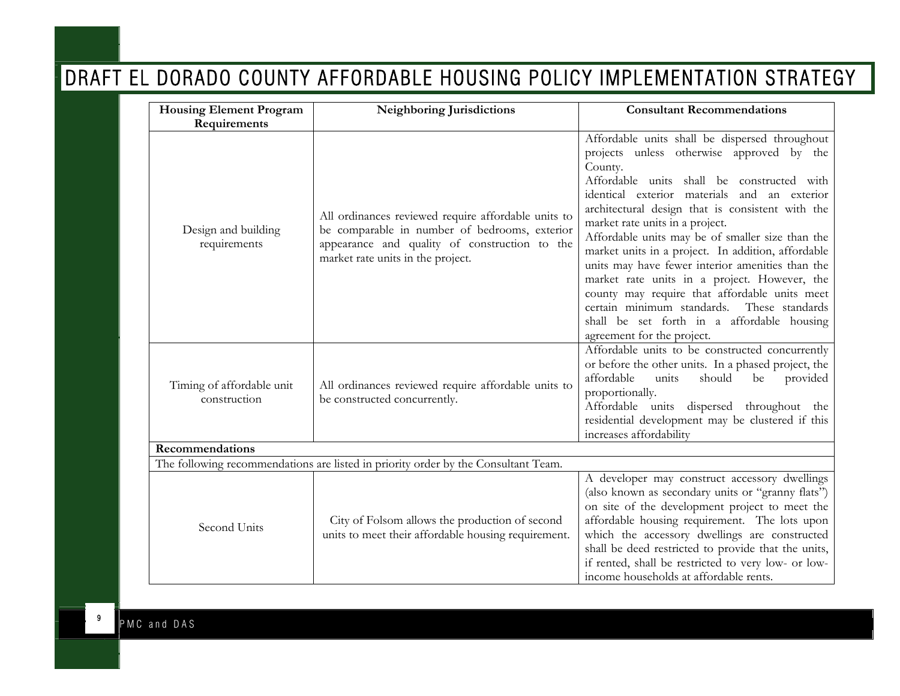| <b>Housing Element Program</b>                                                     | <b>Neighboring Jurisdictions</b>                                                                                                                                                           | <b>Consultant Recommendations</b>                                                                                                                                                                                                                                                                                                                                                                                                                                                                                                                                                                                                                                                       |  |
|------------------------------------------------------------------------------------|--------------------------------------------------------------------------------------------------------------------------------------------------------------------------------------------|-----------------------------------------------------------------------------------------------------------------------------------------------------------------------------------------------------------------------------------------------------------------------------------------------------------------------------------------------------------------------------------------------------------------------------------------------------------------------------------------------------------------------------------------------------------------------------------------------------------------------------------------------------------------------------------------|--|
| Requirements                                                                       |                                                                                                                                                                                            |                                                                                                                                                                                                                                                                                                                                                                                                                                                                                                                                                                                                                                                                                         |  |
| Design and building<br>requirements                                                | All ordinances reviewed require affordable units to<br>be comparable in number of bedrooms, exterior<br>appearance and quality of construction to the<br>market rate units in the project. | Affordable units shall be dispersed throughout<br>projects unless otherwise approved by the<br>County.<br>Affordable units shall be constructed with<br>identical exterior materials and an exterior<br>architectural design that is consistent with the<br>market rate units in a project.<br>Affordable units may be of smaller size than the<br>market units in a project. In addition, affordable<br>units may have fewer interior amenities than the<br>market rate units in a project. However, the<br>county may require that affordable units meet<br>certain minimum standards.<br>These standards<br>shall be set forth in a affordable housing<br>agreement for the project. |  |
| Timing of affordable unit<br>construction                                          | All ordinances reviewed require affordable units to<br>be constructed concurrently.                                                                                                        | Affordable units to be constructed concurrently<br>or before the other units. In a phased project, the<br>affordable<br>should<br>be<br>units<br>provided<br>proportionally.<br>Affordable units dispersed throughout the<br>residential development may be clustered if this<br>increases affordability                                                                                                                                                                                                                                                                                                                                                                                |  |
| Recommendations                                                                    |                                                                                                                                                                                            |                                                                                                                                                                                                                                                                                                                                                                                                                                                                                                                                                                                                                                                                                         |  |
| The following recommendations are listed in priority order by the Consultant Team. |                                                                                                                                                                                            |                                                                                                                                                                                                                                                                                                                                                                                                                                                                                                                                                                                                                                                                                         |  |
| Second Units                                                                       | City of Folsom allows the production of second<br>units to meet their affordable housing requirement.                                                                                      | A developer may construct accessory dwellings<br>(also known as secondary units or "granny flats")<br>on site of the development project to meet the<br>affordable housing requirement. The lots upon<br>which the accessory dwellings are constructed<br>shall be deed restricted to provide that the units,<br>if rented, shall be restricted to very low- or low-<br>income households at affordable rents.                                                                                                                                                                                                                                                                          |  |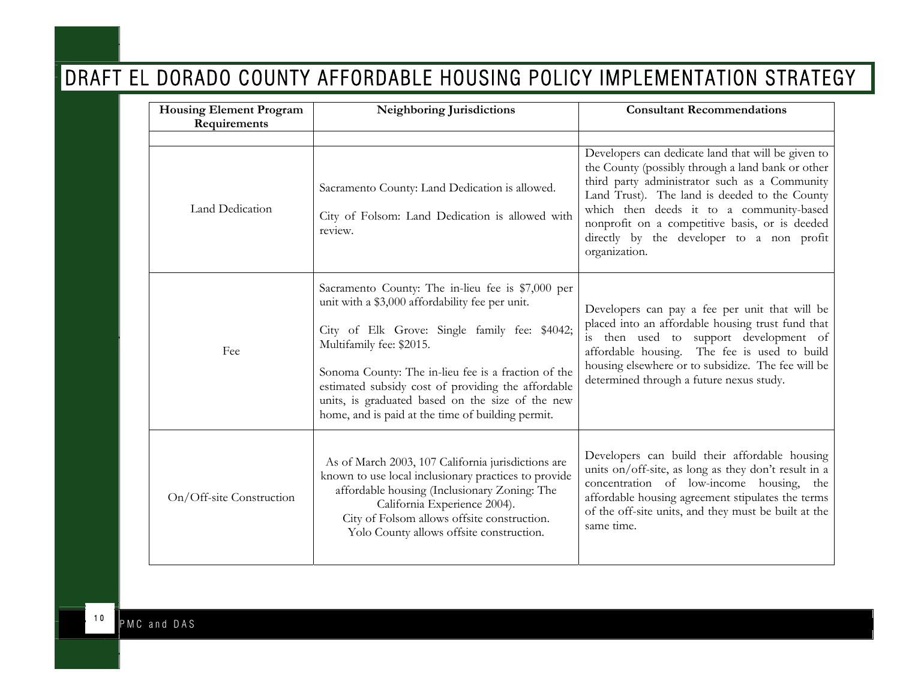| <b>Housing Element Program</b><br>Requirements | Neighboring Jurisdictions                                                                                                                                                                                                                                                                                                                                                                               | <b>Consultant Recommendations</b>                                                                                                                                                                                                                                                                                                                                     |
|------------------------------------------------|---------------------------------------------------------------------------------------------------------------------------------------------------------------------------------------------------------------------------------------------------------------------------------------------------------------------------------------------------------------------------------------------------------|-----------------------------------------------------------------------------------------------------------------------------------------------------------------------------------------------------------------------------------------------------------------------------------------------------------------------------------------------------------------------|
| Land Dedication                                | Sacramento County: Land Dedication is allowed.<br>City of Folsom: Land Dedication is allowed with<br>review.                                                                                                                                                                                                                                                                                            | Developers can dedicate land that will be given to<br>the County (possibly through a land bank or other<br>third party administrator such as a Community<br>Land Trust). The land is deeded to the County<br>which then deeds it to a community-based<br>nonprofit on a competitive basis, or is deeded<br>directly by the developer to a non profit<br>organization. |
| Fee                                            | Sacramento County: The in-lieu fee is \$7,000 per<br>unit with a \$3,000 affordability fee per unit.<br>City of Elk Grove: Single family fee: \$4042;<br>Multifamily fee: \$2015.<br>Sonoma County: The in-lieu fee is a fraction of the<br>estimated subsidy cost of providing the affordable<br>units, is graduated based on the size of the new<br>home, and is paid at the time of building permit. | Developers can pay a fee per unit that will be<br>placed into an affordable housing trust fund that<br>is then used to support development of<br>affordable housing. The fee is used to build<br>housing elsewhere or to subsidize. The fee will be<br>determined through a future nexus study.                                                                       |
| On/Off-site Construction                       | As of March 2003, 107 California jurisdictions are<br>known to use local inclusionary practices to provide<br>affordable housing (Inclusionary Zoning: The<br>California Experience 2004).<br>City of Folsom allows offsite construction.<br>Yolo County allows offsite construction.                                                                                                                   | Developers can build their affordable housing<br>units on/off-site, as long as they don't result in a<br>concentration of low-income housing, the<br>affordable housing agreement stipulates the terms<br>of the off-site units, and they must be built at the<br>same time.                                                                                          |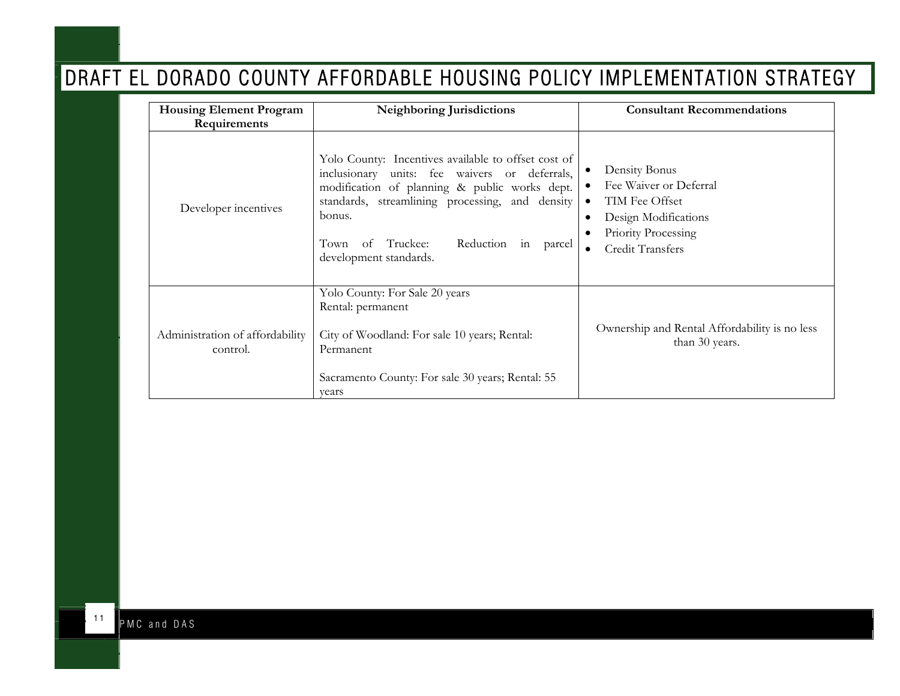| <b>Housing Element Program</b><br>Requirements | <b>Neighboring Jurisdictions</b>                                                                                                                                                                                                                                                                    | <b>Consultant Recommendations</b>                                                                                                         |
|------------------------------------------------|-----------------------------------------------------------------------------------------------------------------------------------------------------------------------------------------------------------------------------------------------------------------------------------------------------|-------------------------------------------------------------------------------------------------------------------------------------------|
| Developer incentives                           | Yolo County: Incentives available to offset cost of<br>inclusionary units: fee waivers or deferrals,<br>modification of planning & public works dept.<br>standards, streamlining processing, and density<br>bonus.<br>Reduction<br>Truckee:<br>Town<br>of<br>in<br>parcel<br>development standards. | Density Bonus<br>Fee Waiver or Deferral<br>TIM Fee Offset<br>$\bullet$<br>Design Modifications<br>Priority Processing<br>Credit Transfers |
| Administration of affordability<br>control.    | Yolo County: For Sale 20 years<br>Rental: permanent<br>City of Woodland: For sale 10 years; Rental:<br>Permanent<br>Sacramento County: For sale 30 years; Rental: 55<br>vears                                                                                                                       | Ownership and Rental Affordability is no less<br>than 30 years.                                                                           |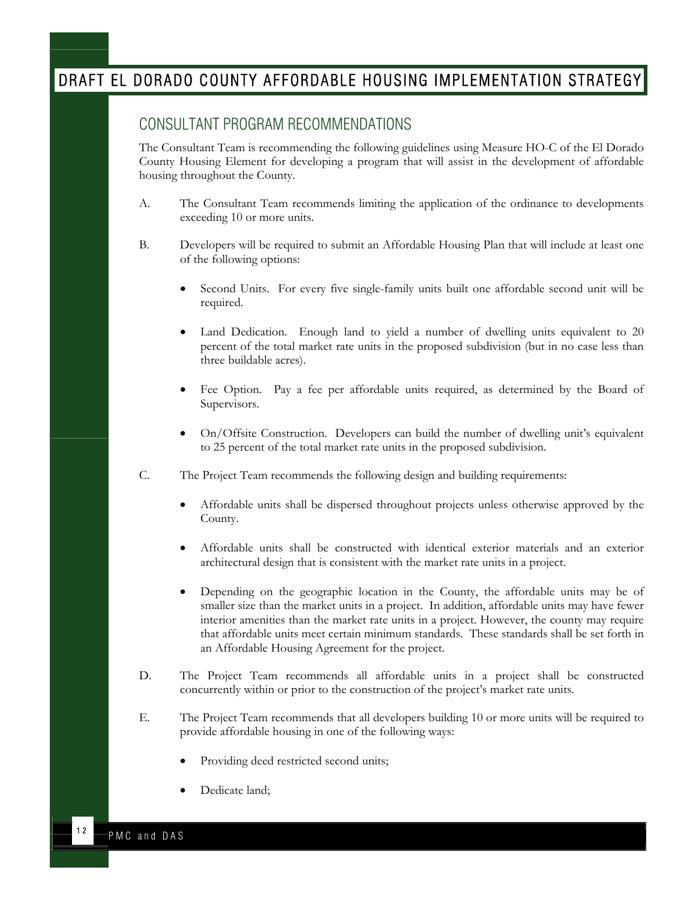#### <span id="page-12-0"></span>CONSULTANT PROGRAM RECOMMENDATIONS

The Consultant Team is recommending the following guidelines using Measure HO-C of the El Dorado County Housing Element for developing a program that will assist in the development of affordable housing throughout the County.

- A. The Consultant Team recommends limiting the application of the ordinance to developments exceeding 10 or more units.
- B. Developers will be required to submit an Affordable Housing Plan that will include at least one of the following options:
	- Second Units. For every five single-family units built one affordable second unit will be required.
	- Land Dedication. Enough land to yield a number of dwelling units equivalent to 20 percent of the total market rate units in the proposed subdivision (but in no case less than three buildable acres).
	- Fee Option. Pay a fee per affordable units required, as determined by the Board of Supervisors.
	- On/Offsite Construction. Developers can build the number of dwelling unit's equivalent to 25 percent of the total market rate units in the proposed subdivision.
- C. The Project Team recommends the following design and building requirements:
	- Affordable units shall be dispersed throughout projects unless otherwise approved by the County.
	- Affordable units shall be constructed with identical exterior materials and an exterior architectural design that is consistent with the market rate units in a project.
	- Depending on the geographic location in the County, the affordable units may be of smaller size than the market units in a project. In addition, affordable units may have fewer interior amenities than the market rate units in a project. However, the county may require that affordable units meet certain minimum standards. These standards shall be set forth in an Affordable Housing Agreement for the project.
- D. The Project Team recommends all affordable units in a project shall be constructed concurrently within or prior to the construction of the project's market rate units.
- E. The Project Team recommends that all developers building 10 or more units will be required to provide affordable housing in one of the following ways:
	- Providing deed restricted second units;
	- Dedicate land;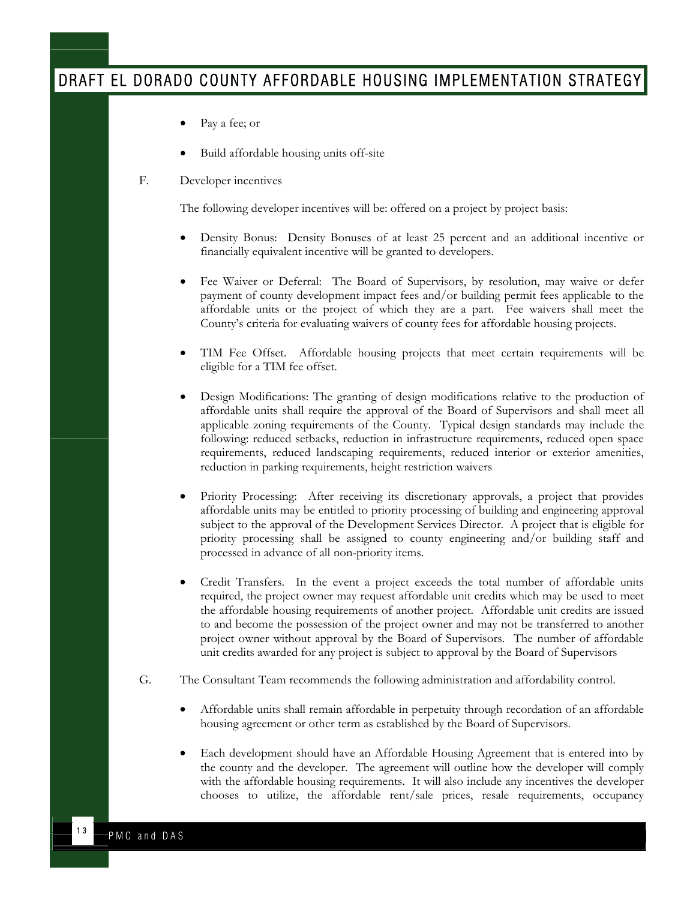- Pay a fee; or
- Build affordable housing units off-site
- F. Developer incentives

The following developer incentives will be: offered on a project by project basis:

- Density Bonus: Density Bonuses of at least 25 percent and an additional incentive or financially equivalent incentive will be granted to developers.
- Fee Waiver or Deferral: The Board of Supervisors, by resolution, may waive or defer payment of county development impact fees and/or building permit fees applicable to the affordable units or the project of which they are a part. Fee waivers shall meet the County's criteria for evaluating waivers of county fees for affordable housing projects.
- TIM Fee Offset. Affordable housing projects that meet certain requirements will be eligible for a TIM fee offset.
- Design Modifications: The granting of design modifications relative to the production of affordable units shall require the approval of the Board of Supervisors and shall meet all applicable zoning requirements of the County. Typical design standards may include the following: reduced setbacks, reduction in infrastructure requirements, reduced open space requirements, reduced landscaping requirements, reduced interior or exterior amenities, reduction in parking requirements, height restriction waivers
- Priority Processing: After receiving its discretionary approvals, a project that provides affordable units may be entitled to priority processing of building and engineering approval subject to the approval of the Development Services Director. A project that is eligible for priority processing shall be assigned to county engineering and/or building staff and processed in advance of all non-priority items.
- Credit Transfers. In the event a project exceeds the total number of affordable units required, the project owner may request affordable unit credits which may be used to meet the affordable housing requirements of another project. Affordable unit credits are issued to and become the possession of the project owner and may not be transferred to another project owner without approval by the Board of Supervisors. The number of affordable unit credits awarded for any project is subject to approval by the Board of Supervisors
- G. The Consultant Team recommends the following administration and affordability control.
	- Affordable units shall remain affordable in perpetuity through recordation of an affordable housing agreement or other term as established by the Board of Supervisors.
	- Each development should have an Affordable Housing Agreement that is entered into by the county and the developer. The agreement will outline how the developer will comply with the affordable housing requirements. It will also include any incentives the developer chooses to utilize, the affordable rent/sale prices, resale requirements, occupancy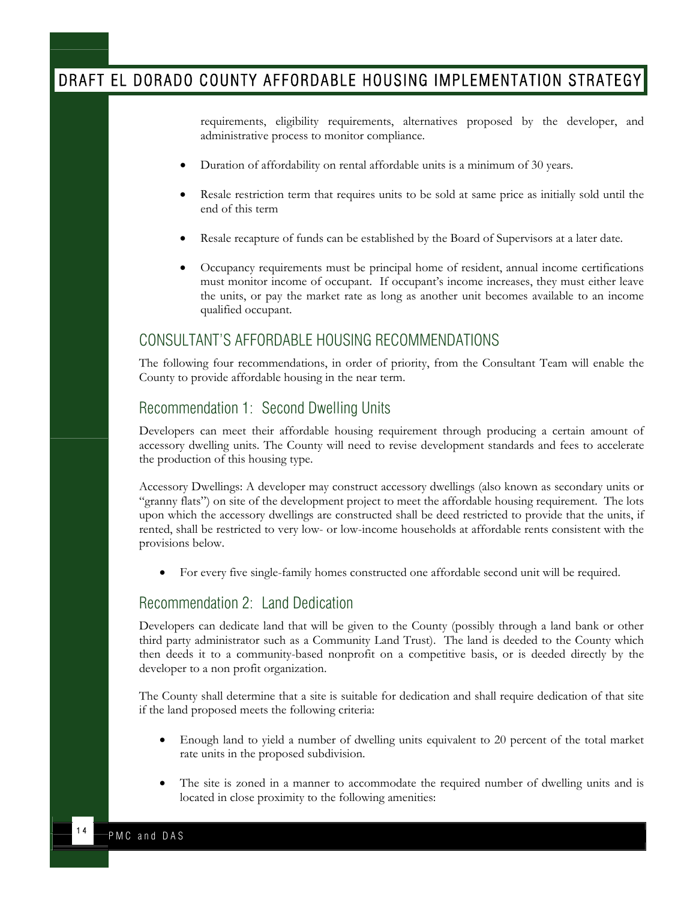<span id="page-14-0"></span>requirements, eligibility requirements, alternatives proposed by the developer, and administrative process to monitor compliance.

- Duration of affordability on rental affordable units is a minimum of 30 years.
- Resale restriction term that requires units to be sold at same price as initially sold until the end of this term
- Resale recapture of funds can be established by the Board of Supervisors at a later date.
- Occupancy requirements must be principal home of resident, annual income certifications must monitor income of occupant. If occupant's income increases, they must either leave the units, or pay the market rate as long as another unit becomes available to an income qualified occupant.

#### CONSULTANT'S AFFORDABLE HOUSING RECOMMENDATIONS

The following four recommendations, in order of priority, from the Consultant Team will enable the County to provide affordable housing in the near term.

#### Recommendation 1: Second Dwelling Units

Developers can meet their affordable housing requirement through producing a certain amount of accessory dwelling units. The County will need to revise development standards and fees to accelerate the production of this housing type.

Accessory Dwellings: A developer may construct accessory dwellings (also known as secondary units or "granny flats") on site of the development project to meet the affordable housing requirement. The lots upon which the accessory dwellings are constructed shall be deed restricted to provide that the units, if rented, shall be restricted to very low- or low-income households at affordable rents consistent with the provisions below.

• For every five single-family homes constructed one affordable second unit will be required.

#### Recommendation 2: Land Dedication

Developers can dedicate land that will be given to the County (possibly through a land bank or other third party administrator such as a Community Land Trust). The land is deeded to the County which then deeds it to a community-based nonprofit on a competitive basis, or is deeded directly by the developer to a non profit organization.

The County shall determine that a site is suitable for dedication and shall require dedication of that site if the land proposed meets the following criteria:

- Enough land to yield a number of dwelling units equivalent to 20 percent of the total market rate units in the proposed subdivision.
- The site is zoned in a manner to accommodate the required number of dwelling units and is located in close proximity to the following amenities: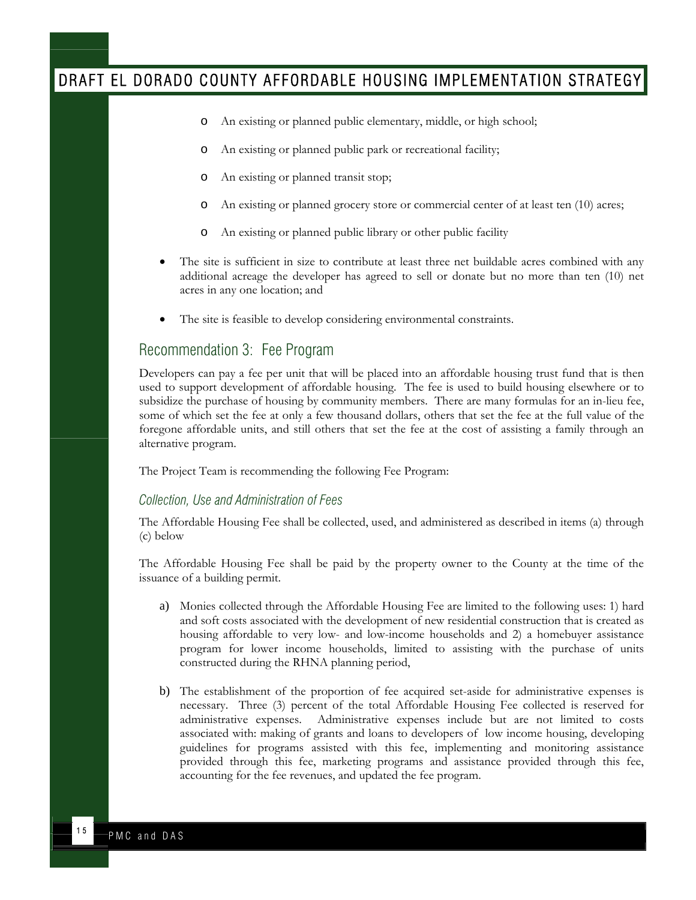- <span id="page-15-0"></span>o An existing or planned public elementary, middle, or high school;
- o An existing or planned public park or recreational facility;
- o An existing or planned transit stop;
- o An existing or planned grocery store or commercial center of at least ten (10) acres;
- o An existing or planned public library or other public facility
- The site is sufficient in size to contribute at least three net buildable acres combined with any additional acreage the developer has agreed to sell or donate but no more than ten (10) net acres in any one location; and
- The site is feasible to develop considering environmental constraints.

#### Recommendation 3: Fee Program

Developers can pay a fee per unit that will be placed into an affordable housing trust fund that is then used to support development of affordable housing. The fee is used to build housing elsewhere or to subsidize the purchase of housing by community members. There are many formulas for an in-lieu fee, some of which set the fee at only a few thousand dollars, others that set the fee at the full value of the foregone affordable units, and still others that set the fee at the cost of assisting a family through an alternative program.

The Project Team is recommending the following Fee Program:

#### *Collection, Use and Administration of Fees*

The Affordable Housing Fee shall be collected, used, and administered as described in items (a) through (c) below

The Affordable Housing Fee shall be paid by the property owner to the County at the time of the issuance of a building permit.

- a) Monies collected through the Affordable Housing Fee are limited to the following uses: 1) hard and soft costs associated with the development of new residential construction that is created as housing affordable to very low- and low-income households and 2) a homebuyer assistance program for lower income households, limited to assisting with the purchase of units constructed during the RHNA planning period,
- b) The establishment of the proportion of fee acquired set-aside for administrative expenses is necessary. Three (3) percent of the total Affordable Housing Fee collected is reserved for administrative expenses. Administrative expenses include but are not limited to costs associated with: making of grants and loans to developers of low income housing, developing guidelines for programs assisted with this fee, implementing and monitoring assistance provided through this fee, marketing programs and assistance provided through this fee, accounting for the fee revenues, and updated the fee program.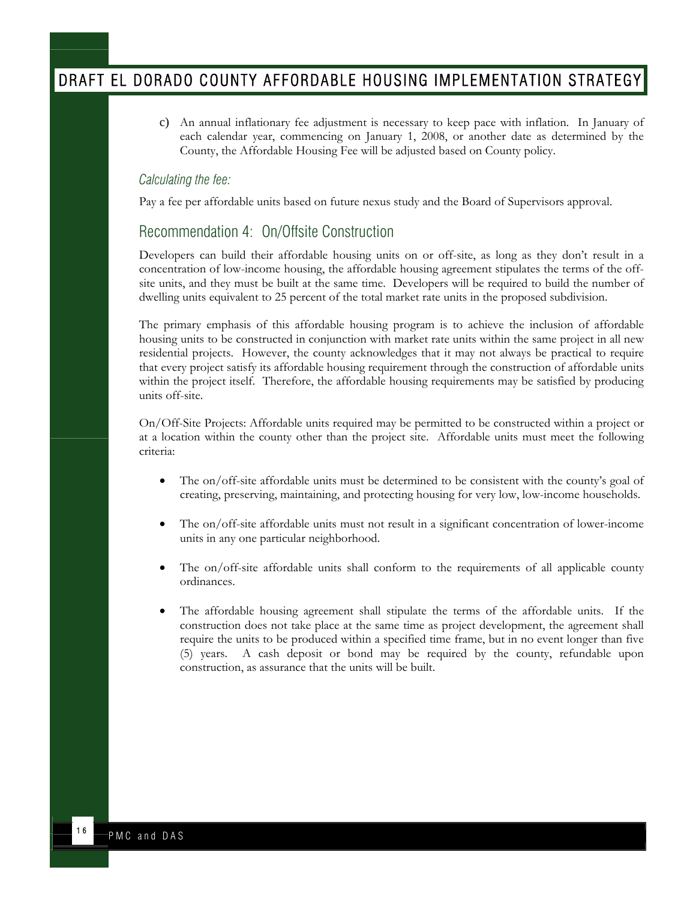<span id="page-16-0"></span>c) An annual inflationary fee adjustment is necessary to keep pace with inflation. In January of each calendar year, commencing on January 1, 2008, or another date as determined by the County, the Affordable Housing Fee will be adjusted based on County policy.

#### *Calculating the fee:*

Pay a fee per affordable units based on future nexus study and the Board of Supervisors approval.

#### Recommendation 4: On/Offsite Construction

Developers can build their affordable housing units on or off-site, as long as they don't result in a concentration of low-income housing, the affordable housing agreement stipulates the terms of the offsite units, and they must be built at the same time. Developers will be required to build the number of dwelling units equivalent to 25 percent of the total market rate units in the proposed subdivision.

The primary emphasis of this affordable housing program is to achieve the inclusion of affordable housing units to be constructed in conjunction with market rate units within the same project in all new residential projects. However, the county acknowledges that it may not always be practical to require that every project satisfy its affordable housing requirement through the construction of affordable units within the project itself. Therefore, the affordable housing requirements may be satisfied by producing units off-site.

On/Off-Site Projects: Affordable units required may be permitted to be constructed within a project or at a location within the county other than the project site. Affordable units must meet the following criteria:

- The on/off-site affordable units must be determined to be consistent with the county's goal of creating, preserving, maintaining, and protecting housing for very low, low-income households.
- The on/off-site affordable units must not result in a significant concentration of lower-income units in any one particular neighborhood.
- The on/off-site affordable units shall conform to the requirements of all applicable county ordinances.
- The affordable housing agreement shall stipulate the terms of the affordable units. If the construction does not take place at the same time as project development, the agreement shall require the units to be produced within a specified time frame, but in no event longer than five (5) years. A cash deposit or bond may be required by the county, refundable upon construction, as assurance that the units will be built.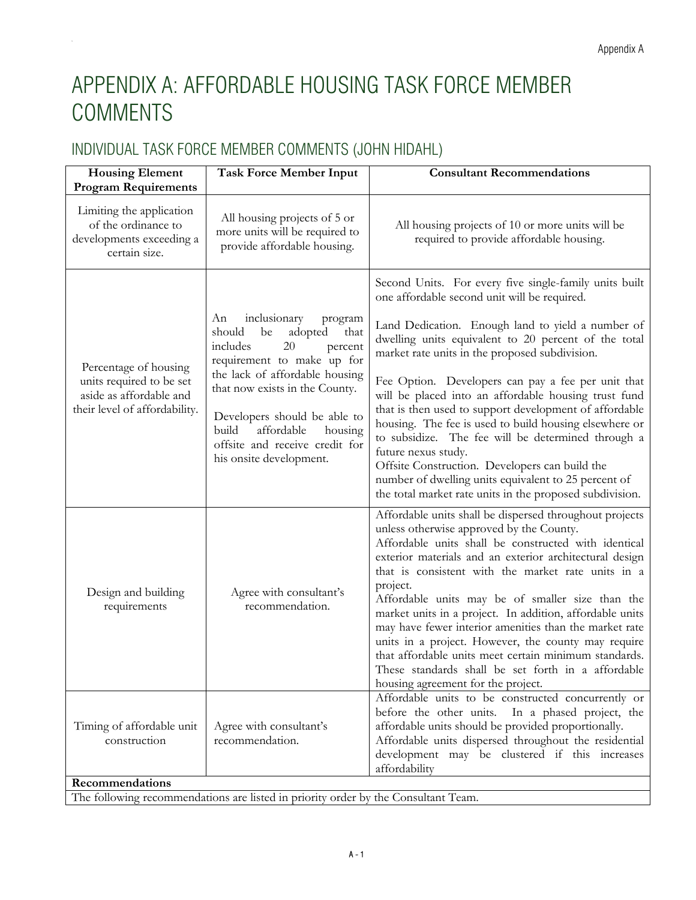# <span id="page-17-0"></span>APPENDIX A: AFFORDABLE HOUSING TASK FORCE MEMBER COMMENTS

# INDIVIDUAL TASK FORCE MEMBER COMMENTS (JOHN HIDAHL)

| <b>Housing Element</b><br><b>Program Requirements</b>                                                         | <b>Task Force Member Input</b>                                                                                                                                                                                                                                                                                                 | <b>Consultant Recommendations</b>                                                                                                                                                                                                                                                                                                                                                                                                                                                                                                                                                                                                                                                                                                                          |
|---------------------------------------------------------------------------------------------------------------|--------------------------------------------------------------------------------------------------------------------------------------------------------------------------------------------------------------------------------------------------------------------------------------------------------------------------------|------------------------------------------------------------------------------------------------------------------------------------------------------------------------------------------------------------------------------------------------------------------------------------------------------------------------------------------------------------------------------------------------------------------------------------------------------------------------------------------------------------------------------------------------------------------------------------------------------------------------------------------------------------------------------------------------------------------------------------------------------------|
| Limiting the application<br>of the ordinance to<br>developments exceeding a<br>certain size.                  | All housing projects of 5 or<br>more units will be required to<br>provide affordable housing.                                                                                                                                                                                                                                  | All housing projects of 10 or more units will be<br>required to provide affordable housing.                                                                                                                                                                                                                                                                                                                                                                                                                                                                                                                                                                                                                                                                |
| Percentage of housing<br>units required to be set<br>aside as affordable and<br>their level of affordability. | inclusionary<br>An<br>program<br>should<br>be<br>adopted<br>that<br>includes<br>20<br>percent<br>requirement to make up for<br>the lack of affordable housing<br>that now exists in the County.<br>Developers should be able to<br>affordable<br>build<br>housing<br>offsite and receive credit for<br>his onsite development. | Second Units. For every five single-family units built<br>one affordable second unit will be required.<br>Land Dedication. Enough land to yield a number of<br>dwelling units equivalent to 20 percent of the total<br>market rate units in the proposed subdivision.<br>Fee Option. Developers can pay a fee per unit that<br>will be placed into an affordable housing trust fund<br>that is then used to support development of affordable<br>housing. The fee is used to build housing elsewhere or<br>to subsidize. The fee will be determined through a<br>future nexus study.<br>Offsite Construction. Developers can build the<br>number of dwelling units equivalent to 25 percent of<br>the total market rate units in the proposed subdivision. |
| Design and building<br>requirements                                                                           | Agree with consultant's<br>recommendation.                                                                                                                                                                                                                                                                                     | Affordable units shall be dispersed throughout projects<br>unless otherwise approved by the County.<br>Affordable units shall be constructed with identical<br>exterior materials and an exterior architectural design<br>that is consistent with the market rate units in a<br>project.<br>Affordable units may be of smaller size than the<br>market units in a project. In addition, affordable units<br>may have fewer interior amenities than the market rate<br>units in a project. However, the county may require<br>that affordable units meet certain minimum standards.<br>These standards shall be set forth in a affordable<br>housing agreement for the project.                                                                             |
| Timing of affordable unit<br>construction<br>Recommendations                                                  | Agree with consultant's<br>recommendation.                                                                                                                                                                                                                                                                                     | Affordable units to be constructed concurrently or<br>before the other units. In a phased project, the<br>affordable units should be provided proportionally.<br>Affordable units dispersed throughout the residential<br>development may be clustered if this increases<br>affordability                                                                                                                                                                                                                                                                                                                                                                                                                                                                  |
|                                                                                                               | The following recommendations are listed in priority order by the Consultant Team.                                                                                                                                                                                                                                             |                                                                                                                                                                                                                                                                                                                                                                                                                                                                                                                                                                                                                                                                                                                                                            |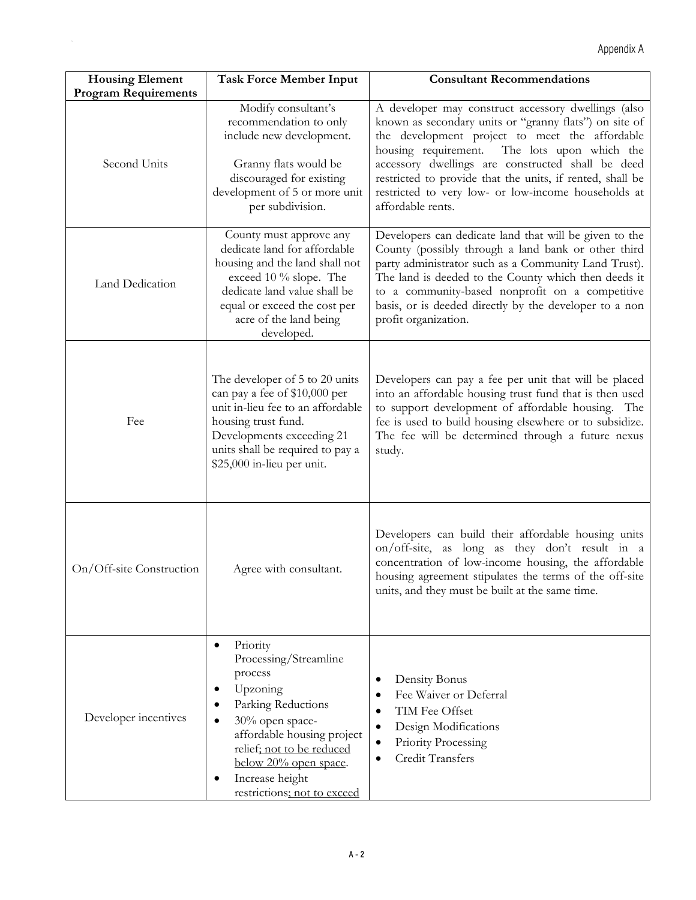| <b>Housing Element</b>                      | <b>Task Force Member Input</b>                                                                                                                                                                                                                                                      | <b>Consultant Recommendations</b>                                                                                                                                                                                                                                                                                                                                                                             |
|---------------------------------------------|-------------------------------------------------------------------------------------------------------------------------------------------------------------------------------------------------------------------------------------------------------------------------------------|---------------------------------------------------------------------------------------------------------------------------------------------------------------------------------------------------------------------------------------------------------------------------------------------------------------------------------------------------------------------------------------------------------------|
| <b>Program Requirements</b><br>Second Units | Modify consultant's<br>recommendation to only<br>include new development.<br>Granny flats would be<br>discouraged for existing<br>development of 5 or more unit<br>per subdivision.                                                                                                 | A developer may construct accessory dwellings (also<br>known as secondary units or "granny flats") on site of<br>the development project to meet the affordable<br>housing requirement. The lots upon which the<br>accessory dwellings are constructed shall be deed<br>restricted to provide that the units, if rented, shall be<br>restricted to very low- or low-income households at<br>affordable rents. |
| Land Dedication                             | County must approve any<br>dedicate land for affordable<br>housing and the land shall not<br>exceed 10 % slope. The<br>dedicate land value shall be<br>equal or exceed the cost per<br>acre of the land being<br>developed.                                                         | Developers can dedicate land that will be given to the<br>County (possibly through a land bank or other third<br>party administrator such as a Community Land Trust).<br>The land is deeded to the County which then deeds it<br>to a community-based nonprofit on a competitive<br>basis, or is deeded directly by the developer to a non<br>profit organization.                                            |
| Fee                                         | The developer of 5 to 20 units<br>can pay a fee of \$10,000 per<br>unit in-lieu fee to an affordable<br>housing trust fund.<br>Developments exceeding 21<br>units shall be required to pay a<br>\$25,000 in-lieu per unit.                                                          | Developers can pay a fee per unit that will be placed<br>into an affordable housing trust fund that is then used<br>to support development of affordable housing. The<br>fee is used to build housing elsewhere or to subsidize.<br>The fee will be determined through a future nexus<br>study.                                                                                                               |
| On/Off-site Construction                    | Agree with consultant.                                                                                                                                                                                                                                                              | Developers can build their affordable housing units<br>on/off-site, as long as they don't result in a<br>concentration of low-income housing, the affordable<br>housing agreement stipulates the terms of the off-site<br>units, and they must be built at the same time.                                                                                                                                     |
| Developer incentives                        | Priority<br>$\bullet$<br>Processing/Streamline<br>process<br>Upzoning<br>٠<br>Parking Reductions<br>30% open space-<br>$\bullet$<br>affordable housing project<br>relief; not to be reduced<br>below 20% open space.<br>Increase height<br>$\bullet$<br>restrictions; not to exceed | Density Bonus<br>٠<br>Fee Waiver or Deferral<br>$\bullet$<br>TIM Fee Offset<br>٠<br>Design Modifications<br>٠<br>Priority Processing<br>$\bullet$<br><b>Credit Transfers</b>                                                                                                                                                                                                                                  |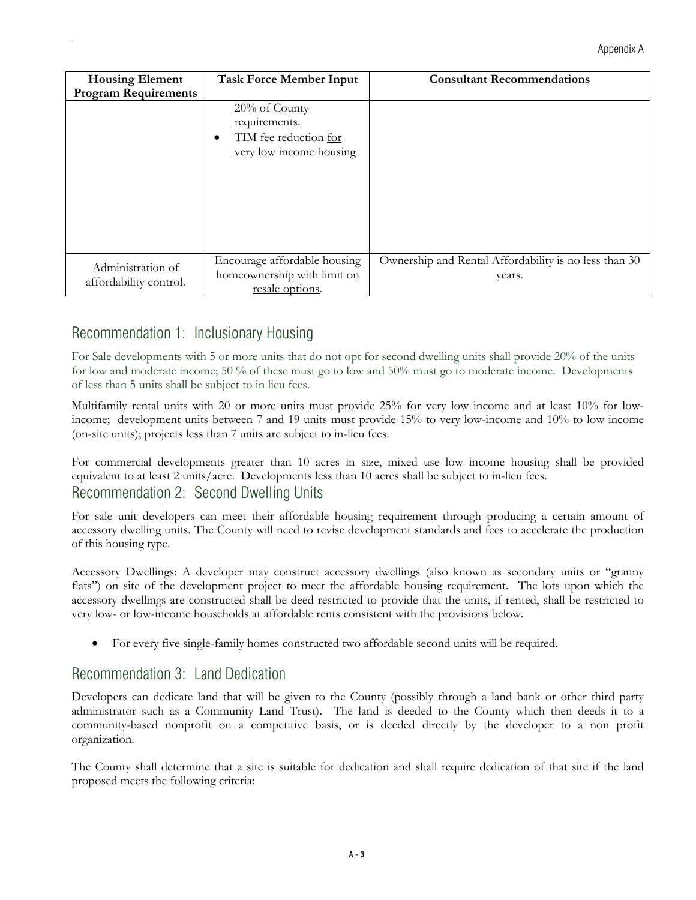| <b>Housing Element</b>      | <b>Task Force Member Input</b> | <b>Consultant Recommendations</b>                     |
|-----------------------------|--------------------------------|-------------------------------------------------------|
| <b>Program Requirements</b> |                                |                                                       |
|                             | $20\%$ of County               |                                                       |
|                             | requirements.                  |                                                       |
|                             | TIM fee reduction for<br>٠     |                                                       |
|                             | very low income housing        |                                                       |
|                             |                                |                                                       |
|                             |                                |                                                       |
|                             |                                |                                                       |
|                             |                                |                                                       |
|                             |                                |                                                       |
|                             |                                |                                                       |
|                             | Encourage affordable housing   | Ownership and Rental Affordability is no less than 30 |
| Administration of           | homeownership with limit on    | years.                                                |
| affordability control.      | resale options.                |                                                       |

## Recommendation 1: Inclusionary Housing

For Sale developments with 5 or more units that do not opt for second dwelling units shall provide 20% of the units for low and moderate income; 50 % of these must go to low and 50% must go to moderate income. Developments of less than 5 units shall be subject to in lieu fees.

Multifamily rental units with 20 or more units must provide 25% for very low income and at least 10% for lowincome; development units between 7 and 19 units must provide 15% to very low-income and 10% to low income (on-site units); projects less than 7 units are subject to in-lieu fees.

For commercial developments greater than 10 acres in size, mixed use low income housing shall be provided equivalent to at least 2 units/acre. Developments less than 10 acres shall be subject to in-lieu fees. Recommendation 2: Second Dwelling Units

For sale unit developers can meet their affordable housing requirement through producing a certain amount of accessory dwelling units. The County will need to revise development standards and fees to accelerate the production of this housing type.

Accessory Dwellings: A developer may construct accessory dwellings (also known as secondary units or "granny flats") on site of the development project to meet the affordable housing requirement. The lots upon which the accessory dwellings are constructed shall be deed restricted to provide that the units, if rented, shall be restricted to very low- or low-income households at affordable rents consistent with the provisions below.

• For every five single-family homes constructed two affordable second units will be required.

### Recommendation 3: Land Dedication

Developers can dedicate land that will be given to the County (possibly through a land bank or other third party administrator such as a Community Land Trust). The land is deeded to the County which then deeds it to a community-based nonprofit on a competitive basis, or is deeded directly by the developer to a non profit organization.

The County shall determine that a site is suitable for dedication and shall require dedication of that site if the land proposed meets the following criteria: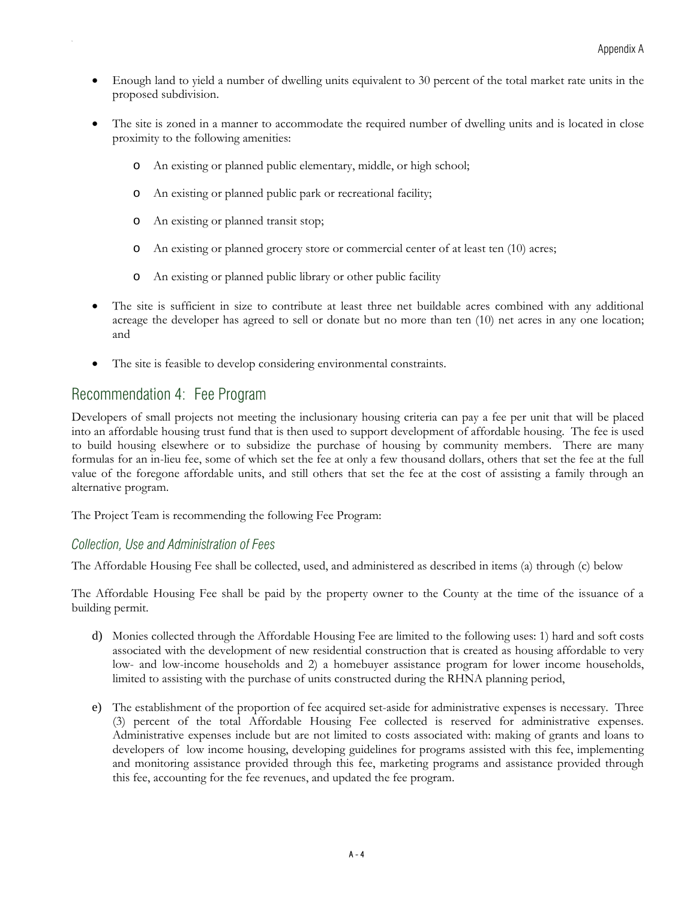- Enough land to yield a number of dwelling units equivalent to 30 percent of the total market rate units in the proposed subdivision.
- The site is zoned in a manner to accommodate the required number of dwelling units and is located in close proximity to the following amenities:
	- o An existing or planned public elementary, middle, or high school;
	- o An existing or planned public park or recreational facility;
	- o An existing or planned transit stop;
	- o An existing or planned grocery store or commercial center of at least ten (10) acres;
	- o An existing or planned public library or other public facility
- The site is sufficient in size to contribute at least three net buildable acres combined with any additional acreage the developer has agreed to sell or donate but no more than ten (10) net acres in any one location; and
- The site is feasible to develop considering environmental constraints.

### Recommendation 4: Fee Program

Developers of small projects not meeting the inclusionary housing criteria can pay a fee per unit that will be placed into an affordable housing trust fund that is then used to support development of affordable housing. The fee is used to build housing elsewhere or to subsidize the purchase of housing by community members. There are many formulas for an in-lieu fee, some of which set the fee at only a few thousand dollars, others that set the fee at the full value of the foregone affordable units, and still others that set the fee at the cost of assisting a family through an alternative program.

The Project Team is recommending the following Fee Program:

#### *Collection, Use and Administration of Fees*

The Affordable Housing Fee shall be collected, used, and administered as described in items (a) through (c) below

The Affordable Housing Fee shall be paid by the property owner to the County at the time of the issuance of a building permit.

- d) Monies collected through the Affordable Housing Fee are limited to the following uses: 1) hard and soft costs associated with the development of new residential construction that is created as housing affordable to very low- and low-income households and 2) a homebuyer assistance program for lower income households, limited to assisting with the purchase of units constructed during the RHNA planning period,
- e) The establishment of the proportion of fee acquired set-aside for administrative expenses is necessary. Three (3) percent of the total Affordable Housing Fee collected is reserved for administrative expenses. Administrative expenses include but are not limited to costs associated with: making of grants and loans to developers of low income housing, developing guidelines for programs assisted with this fee, implementing and monitoring assistance provided through this fee, marketing programs and assistance provided through this fee, accounting for the fee revenues, and updated the fee program.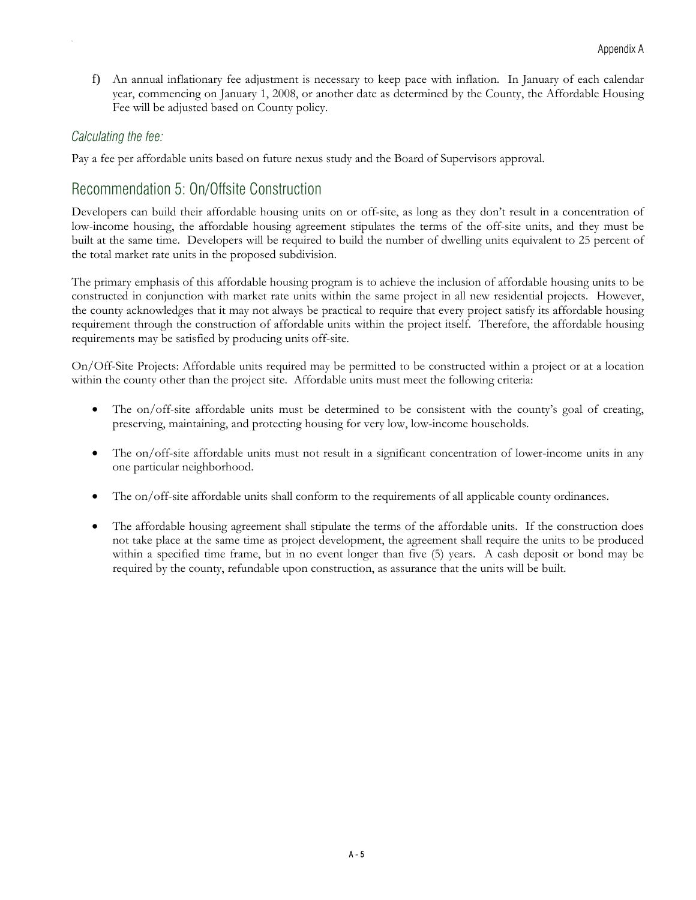f) An annual inflationary fee adjustment is necessary to keep pace with inflation. In January of each calendar year, commencing on January 1, 2008, or another date as determined by the County, the Affordable Housing Fee will be adjusted based on County policy.

#### *Calculating the fee:*

Pay a fee per affordable units based on future nexus study and the Board of Supervisors approval.

## Recommendation 5: On/Offsite Construction

Developers can build their affordable housing units on or off-site, as long as they don't result in a concentration of low-income housing, the affordable housing agreement stipulates the terms of the off-site units, and they must be built at the same time. Developers will be required to build the number of dwelling units equivalent to 25 percent of the total market rate units in the proposed subdivision.

The primary emphasis of this affordable housing program is to achieve the inclusion of affordable housing units to be constructed in conjunction with market rate units within the same project in all new residential projects. However, the county acknowledges that it may not always be practical to require that every project satisfy its affordable housing requirement through the construction of affordable units within the project itself. Therefore, the affordable housing requirements may be satisfied by producing units off-site.

On/Off-Site Projects: Affordable units required may be permitted to be constructed within a project or at a location within the county other than the project site. Affordable units must meet the following criteria:

- The on/off-site affordable units must be determined to be consistent with the county's goal of creating, preserving, maintaining, and protecting housing for very low, low-income households.
- The on/off-site affordable units must not result in a significant concentration of lower-income units in any one particular neighborhood.
- The on/off-site affordable units shall conform to the requirements of all applicable county ordinances.
- The affordable housing agreement shall stipulate the terms of the affordable units. If the construction does not take place at the same time as project development, the agreement shall require the units to be produced within a specified time frame, but in no event longer than five (5) years. A cash deposit or bond may be required by the county, refundable upon construction, as assurance that the units will be built.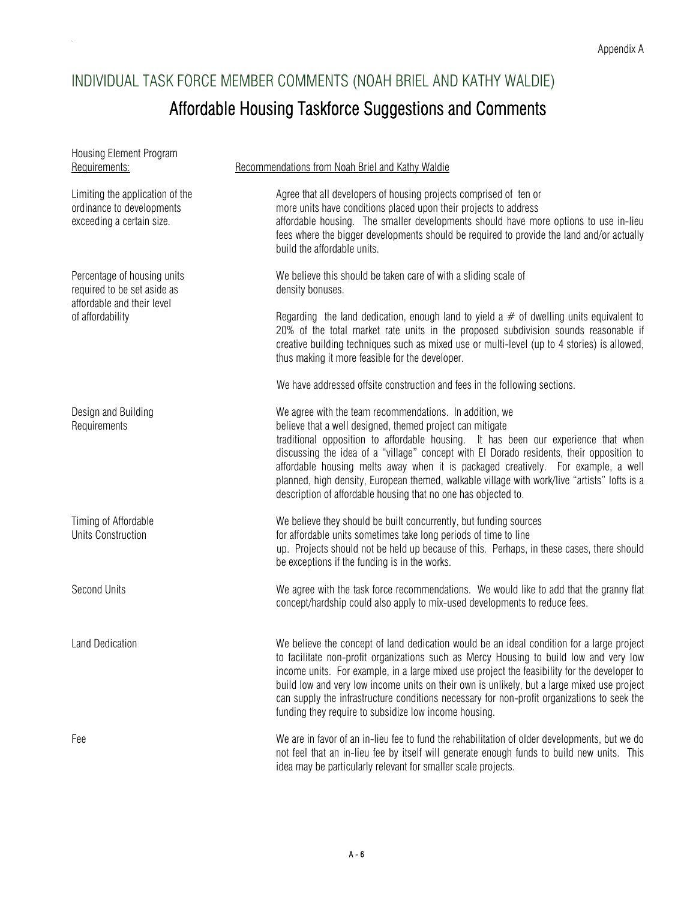# INDIVIDUAL TASK FORCE MEMBER COMMENTS (NOAH BRIEL AND KATHY WALDIE) Affordable Housing Taskforce Suggestions and Comments

<span id="page-22-0"></span>Ap

| Housing Element Program<br>Requirements:                                                                     | Recommendations from Noah Briel and Kathy Waldie                                                                                                                                                                                                                                                                                                                                                                                                                                                                                                              |
|--------------------------------------------------------------------------------------------------------------|---------------------------------------------------------------------------------------------------------------------------------------------------------------------------------------------------------------------------------------------------------------------------------------------------------------------------------------------------------------------------------------------------------------------------------------------------------------------------------------------------------------------------------------------------------------|
| Limiting the application of the<br>ordinance to developments<br>exceeding a certain size.                    | Agree that all developers of housing projects comprised of ten or<br>more units have conditions placed upon their projects to address<br>affordable housing. The smaller developments should have more options to use in-lieu<br>fees where the bigger developments should be required to provide the land and/or actually<br>build the affordable units.                                                                                                                                                                                                     |
| Percentage of housing units<br>required to be set aside as<br>affordable and their level<br>of affordability | We believe this should be taken care of with a sliding scale of<br>density bonuses.                                                                                                                                                                                                                                                                                                                                                                                                                                                                           |
|                                                                                                              | Regarding the land dedication, enough land to yield a $#$ of dwelling units equivalent to<br>20% of the total market rate units in the proposed subdivision sounds reasonable if<br>creative building techniques such as mixed use or multi-level (up to 4 stories) is allowed,<br>thus making it more feasible for the developer.                                                                                                                                                                                                                            |
|                                                                                                              | We have addressed offsite construction and fees in the following sections.                                                                                                                                                                                                                                                                                                                                                                                                                                                                                    |
| Design and Building<br>Requirements                                                                          | We agree with the team recommendations. In addition, we<br>believe that a well designed, themed project can mitigate<br>traditional opposition to affordable housing. It has been our experience that when<br>discussing the idea of a "village" concept with El Dorado residents, their opposition to<br>affordable housing melts away when it is packaged creatively. For example, a well<br>planned, high density, European themed, walkable village with work/live "artists" lofts is a<br>description of affordable housing that no one has objected to. |
| Timing of Affordable<br><b>Units Construction</b>                                                            | We believe they should be built concurrently, but funding sources<br>for affordable units sometimes take long periods of time to line<br>up. Projects should not be held up because of this. Perhaps, in these cases, there should<br>be exceptions if the funding is in the works.                                                                                                                                                                                                                                                                           |
| <b>Second Units</b>                                                                                          | We agree with the task force recommendations. We would like to add that the granny flat<br>concept/hardship could also apply to mix-used developments to reduce fees.                                                                                                                                                                                                                                                                                                                                                                                         |
| <b>Land Dedication</b>                                                                                       | We believe the concept of land dedication would be an ideal condition for a large project<br>to facilitate non-profit organizations such as Mercy Housing to build low and very low<br>income units. For example, in a large mixed use project the feasibility for the developer to<br>build low and very low income units on their own is unlikely, but a large mixed use project<br>can supply the infrastructure conditions necessary for non-profit organizations to seek the<br>funding they require to subsidize low income housing.                    |
| Fee                                                                                                          | We are in favor of an in-lieu fee to fund the rehabilitation of older developments, but we do<br>not feel that an in-lieu fee by itself will generate enough funds to build new units. This                                                                                                                                                                                                                                                                                                                                                                   |

idea may be particularly relevant for smaller scale projects.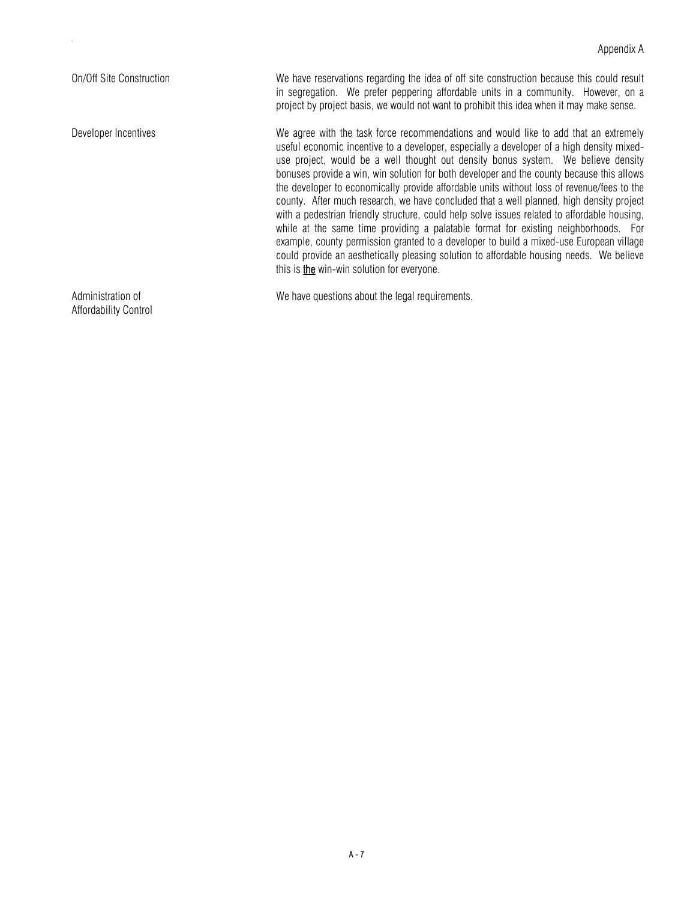On/Off Site Construction We have reservations regarding the idea of off site construction because this could result in segregation. We prefer peppering affordable units in a community. However, on a project by project basis, we would not want to prohibit this idea when it may make sense.

Developer Incentives extremely We agree with the task force recommendations and would like to add that an extremely useful economic incentive to a developer, especially a developer of a high density mixeduse project, would be a well thought out density bonus system. We believe density bonuses provide a win, win solution for both developer and the county because this allows the developer to economically provide affordable units without loss of revenue/fees to the county. After much research, we have concluded that a well planned, high density project with a pedestrian friendly structure, could help solve issues related to affordable housing, while at the same time providing a palatable format for existing neighborhoods. For example, county permission granted to a developer to build a mixed-use European village could provide an aesthetically pleasing solution to affordable housing needs. We believe this is **the** win-win solution for everyone.

Administration of **We have questions about the legal requirements.** 

Affordability Control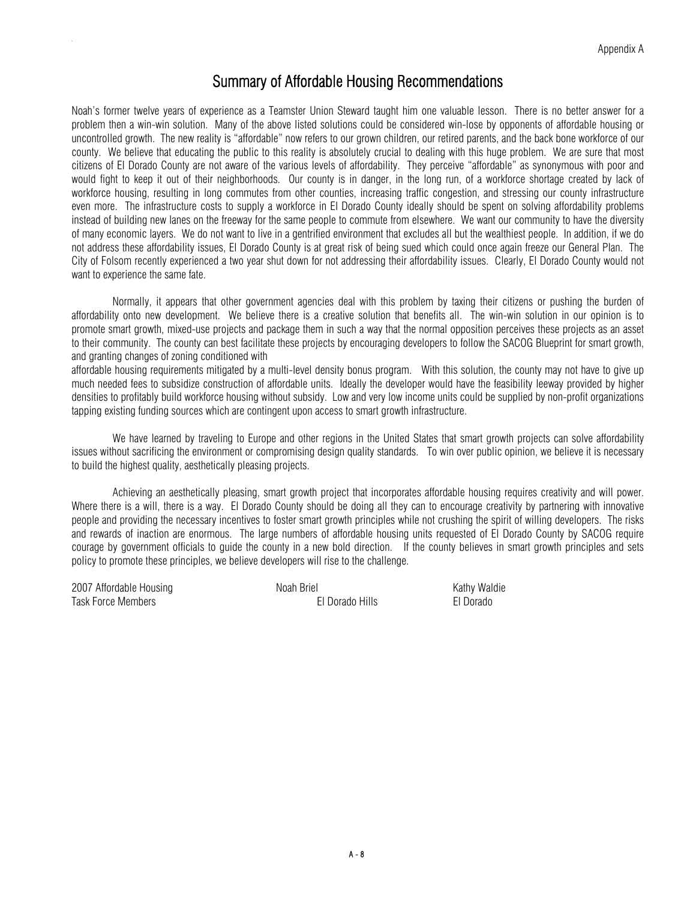## Summary of Affordable Housing Recommendations

Noah's former twelve years of experience as a Teamster Union Steward taught him one valuable lesson. There is no better answer for a problem then a win-win solution. Many of the above listed solutions could be considered win-lose by opponents of affordable housing or uncontrolled growth. The new reality is "affordable" now refers to our grown children, our retired parents, and the back bone workforce of our county. We believe that educating the public to this reality is absolutely crucial to dealing with this huge problem. We are sure that most citizens of El Dorado County are not aware of the various levels of affordability. They perceive "affordable" as synonymous with poor and would fight to keep it out of their neighborhoods. Our county is in danger, in the long run, of a workforce shortage created by lack of workforce housing, resulting in long commutes from other counties, increasing traffic congestion, and stressing our county infrastructure even more. The infrastructure costs to supply a workforce in El Dorado County ideally should be spent on solving affordability problems instead of building new lanes on the freeway for the same people to commute from elsewhere. We want our community to have the diversity of many economic layers. We do not want to live in a gentrified environment that excludes all but the wealthiest people. In addition, if we do not address these affordability issues, El Dorado County is at great risk of being sued which could once again freeze our General Plan. The City of Folsom recently experienced a two year shut down for not addressing their affordability issues. Clearly, El Dorado County would not want to experience the same fate.

 Normally, it appears that other government agencies deal with this problem by taxing their citizens or pushing the burden of affordability onto new development. We believe there is a creative solution that benefits all. The win-win solution in our opinion is to promote smart growth, mixed-use projects and package them in such a way that the normal opposition perceives these projects as an asset to their community. The county can best facilitate these projects by encouraging developers to follow the SACOG Blueprint for smart growth, and granting changes of zoning conditioned with

affordable housing requirements mitigated by a multi-level density bonus program. With this solution, the county may not have to give up much needed fees to subsidize construction of affordable units. Ideally the developer would have the feasibility leeway provided by higher densities to profitably build workforce housing without subsidy. Low and very low income units could be supplied by non-profit organizations tapping existing funding sources which are contingent upon access to smart growth infrastructure.

We have learned by traveling to Europe and other regions in the United States that smart growth projects can solve affordability issues without sacrificing the environment or compromising design quality standards. To win over public opinion, we believe it is necessary to build the highest quality, aesthetically pleasing projects.

 Achieving an aesthetically pleasing, smart growth project that incorporates affordable housing requires creativity and will power. Where there is a will, there is a way. El Dorado County should be doing all they can to encourage creativity by partnering with innovative people and providing the necessary incentives to foster smart growth principles while not crushing the spirit of willing developers. The risks and rewards of inaction are enormous. The large numbers of affordable housing units requested of El Dorado County by SACOG require courage by government officials to guide the county in a new bold direction. If the county believes in smart growth principles and sets policy to promote these principles, we believe developers will rise to the challenge.

2007 Affordable Housing The Roah Briel Noah Briel Kathy Waldie Task Force Members El Dorado Hills El Dorado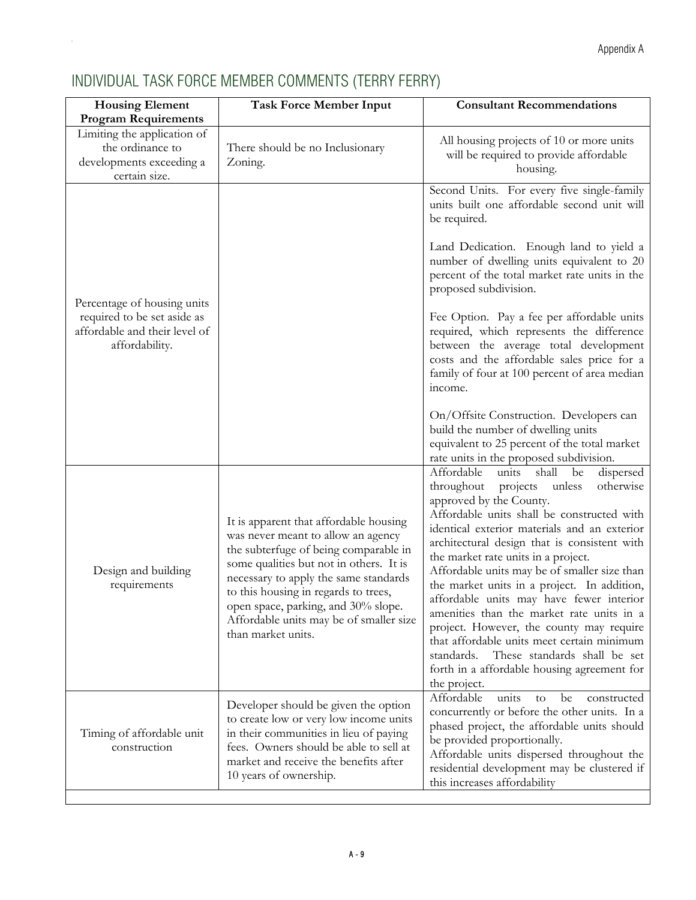| <b>Housing Element</b><br><b>Program Requirements</b>                                                         | <b>Task Force Member Input</b>                                                                                                                                                                                                                                                                                                                            | <b>Consultant Recommendations</b>                                                                                                                                                                                                                                                                                                                                                                                                                                                                                                                                                                                                                                                                                                                                                                                                                |
|---------------------------------------------------------------------------------------------------------------|-----------------------------------------------------------------------------------------------------------------------------------------------------------------------------------------------------------------------------------------------------------------------------------------------------------------------------------------------------------|--------------------------------------------------------------------------------------------------------------------------------------------------------------------------------------------------------------------------------------------------------------------------------------------------------------------------------------------------------------------------------------------------------------------------------------------------------------------------------------------------------------------------------------------------------------------------------------------------------------------------------------------------------------------------------------------------------------------------------------------------------------------------------------------------------------------------------------------------|
| Limiting the application of<br>the ordinance to<br>developments exceeding a<br>certain size.                  | There should be no Inclusionary<br>Zoning.                                                                                                                                                                                                                                                                                                                | All housing projects of 10 or more units<br>will be required to provide affordable<br>housing.                                                                                                                                                                                                                                                                                                                                                                                                                                                                                                                                                                                                                                                                                                                                                   |
| Percentage of housing units<br>required to be set aside as<br>affordable and their level of<br>affordability. |                                                                                                                                                                                                                                                                                                                                                           | Second Units. For every five single-family<br>units built one affordable second unit will<br>be required.<br>Land Dedication. Enough land to yield a<br>number of dwelling units equivalent to 20<br>percent of the total market rate units in the<br>proposed subdivision.<br>Fee Option. Pay a fee per affordable units<br>required, which represents the difference<br>between the average total development<br>costs and the affordable sales price for a<br>family of four at 100 percent of area median<br>income.<br>On/Offsite Construction. Developers can                                                                                                                                                                                                                                                                              |
| Design and building<br>requirements                                                                           | It is apparent that affordable housing<br>was never meant to allow an agency<br>the subterfuge of being comparable in<br>some qualities but not in others. It is<br>necessary to apply the same standards<br>to this housing in regards to trees,<br>open space, parking, and 30% slope.<br>Affordable units may be of smaller size<br>than market units. | build the number of dwelling units<br>equivalent to 25 percent of the total market<br>rate units in the proposed subdivision.<br>Affordable<br>shall<br>units<br>be<br>dispersed<br>throughout<br>otherwise<br>projects<br>unless<br>approved by the County.<br>Affordable units shall be constructed with<br>identical exterior materials and an exterior<br>architectural design that is consistent with<br>the market rate units in a project.<br>Affordable units may be of smaller size than<br>the market units in a project. In addition,<br>affordable units may have fewer interior<br>amenities than the market rate units in a<br>project. However, the county may require<br>that affordable units meet certain minimum<br>These standards shall be set<br>standards.<br>forth in a affordable housing agreement for<br>the project. |
| Timing of affordable unit<br>construction                                                                     | Developer should be given the option<br>to create low or very low income units<br>in their communities in lieu of paying<br>fees. Owners should be able to sell at<br>market and receive the benefits after<br>10 years of ownership.                                                                                                                     | Affordable<br>units<br>be<br>constructed<br>to<br>concurrently or before the other units. In a<br>phased project, the affordable units should<br>be provided proportionally.<br>Affordable units dispersed throughout the<br>residential development may be clustered if<br>this increases affordability                                                                                                                                                                                                                                                                                                                                                                                                                                                                                                                                         |

# <span id="page-25-0"></span>INDIVIDUAL TASK FORCE MEMBER COMMENTS (TERRY FERRY)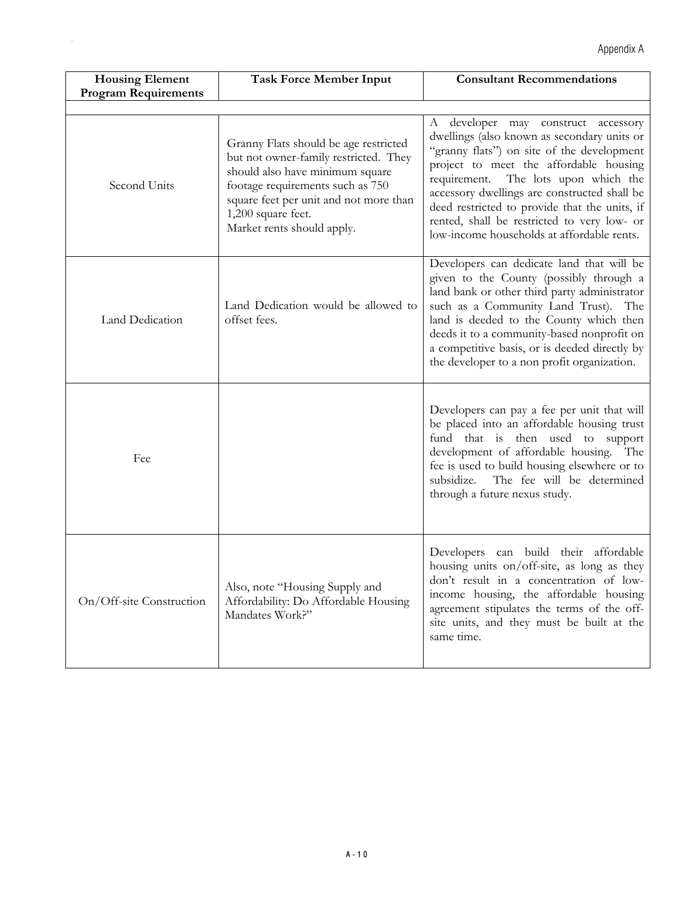| <b>Housing Element</b><br><b>Program Requirements</b> | <b>Task Force Member Input</b>                                                                                                                                                                                                                      | <b>Consultant Recommendations</b>                                                                                                                                                                                                                                                                                                                                                                                   |
|-------------------------------------------------------|-----------------------------------------------------------------------------------------------------------------------------------------------------------------------------------------------------------------------------------------------------|---------------------------------------------------------------------------------------------------------------------------------------------------------------------------------------------------------------------------------------------------------------------------------------------------------------------------------------------------------------------------------------------------------------------|
|                                                       |                                                                                                                                                                                                                                                     |                                                                                                                                                                                                                                                                                                                                                                                                                     |
| Second Units                                          | Granny Flats should be age restricted<br>but not owner-family restricted. They<br>should also have minimum square<br>footage requirements such as 750<br>square feet per unit and not more than<br>1,200 square feet.<br>Market rents should apply. | A developer may construct accessory<br>dwellings (also known as secondary units or<br>"granny flats") on site of the development<br>project to meet the affordable housing<br>requirement.<br>The lots upon which the<br>accessory dwellings are constructed shall be<br>deed restricted to provide that the units, if<br>rented, shall be restricted to very low- or<br>low-income households at affordable rents. |
| Land Dedication                                       | Land Dedication would be allowed to<br>offset fees.                                                                                                                                                                                                 | Developers can dedicate land that will be<br>given to the County (possibly through a<br>land bank or other third party administrator<br>such as a Community Land Trust). The<br>land is deeded to the County which then<br>deeds it to a community-based nonprofit on<br>a competitive basis, or is deeded directly by<br>the developer to a non profit organization.                                               |
| Fee                                                   |                                                                                                                                                                                                                                                     | Developers can pay a fee per unit that will<br>be placed into an affordable housing trust<br>fund that is then used to support<br>development of affordable housing. The<br>fee is used to build housing elsewhere or to<br>The fee will be determined<br>subsidize.<br>through a future nexus study.                                                                                                               |
| On/Off-site Construction                              | Also, note "Housing Supply and<br>Affordability: Do Affordable Housing<br>Mandates Work?"                                                                                                                                                           | Developers can build their affordable<br>housing units on/off-site, as long as they<br>don't result in a concentration of low-<br>income housing, the affordable housing<br>agreement stipulates the terms of the off-<br>site units, and they must be built at the<br>same time.                                                                                                                                   |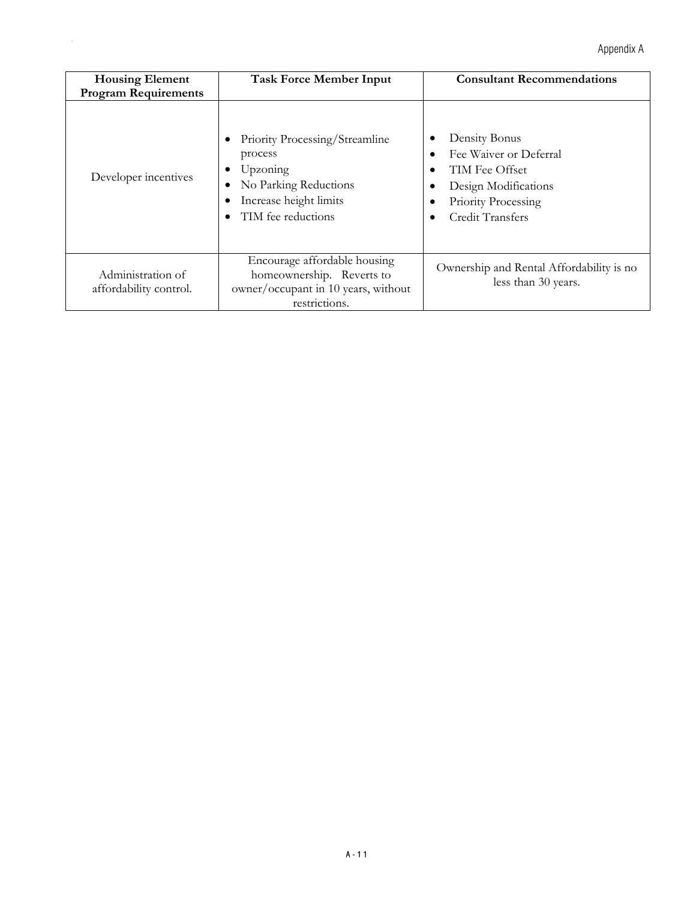| <b>Housing Element</b><br><b>Program Requirements</b> | <b>Task Force Member Input</b>                                                                                                 | <b>Consultant Recommendations</b>                                                                                            |
|-------------------------------------------------------|--------------------------------------------------------------------------------------------------------------------------------|------------------------------------------------------------------------------------------------------------------------------|
| Developer incentives                                  | Priority Processing/Streamline<br>process<br>Upzoning<br>No Parking Reductions<br>Increase height limits<br>TIM fee reductions | Density Bonus<br>Fee Waiver or Deferral<br>TIM Fee Offset<br>Design Modifications<br>Priority Processing<br>Credit Transfers |
| Administration of<br>affordability control.           | Encourage affordable housing<br>homeownership. Reverts to<br>owner/occupant in 10 years, without<br>restrictions.              | Ownership and Rental Affordability is no<br>less than 30 years.                                                              |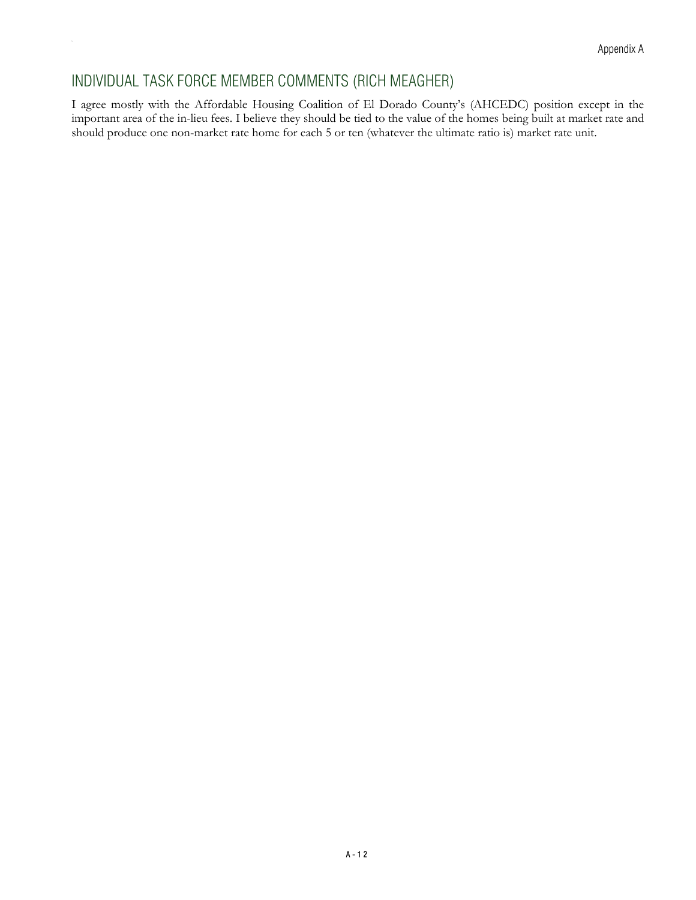## INDIVIDUAL TASK FORCE MEMBER COMMENTS (RICH MEAGHER)

<span id="page-28-0"></span>Ap

I agree mostly with the Affordable Housing Coalition of El Dorado County's (AHCEDC) position except in the important area of the in-lieu fees. I believe they should be tied to the value of the homes being built at market rate and should produce one non-market rate home for each 5 or ten (whatever the ultimate ratio is) market rate unit.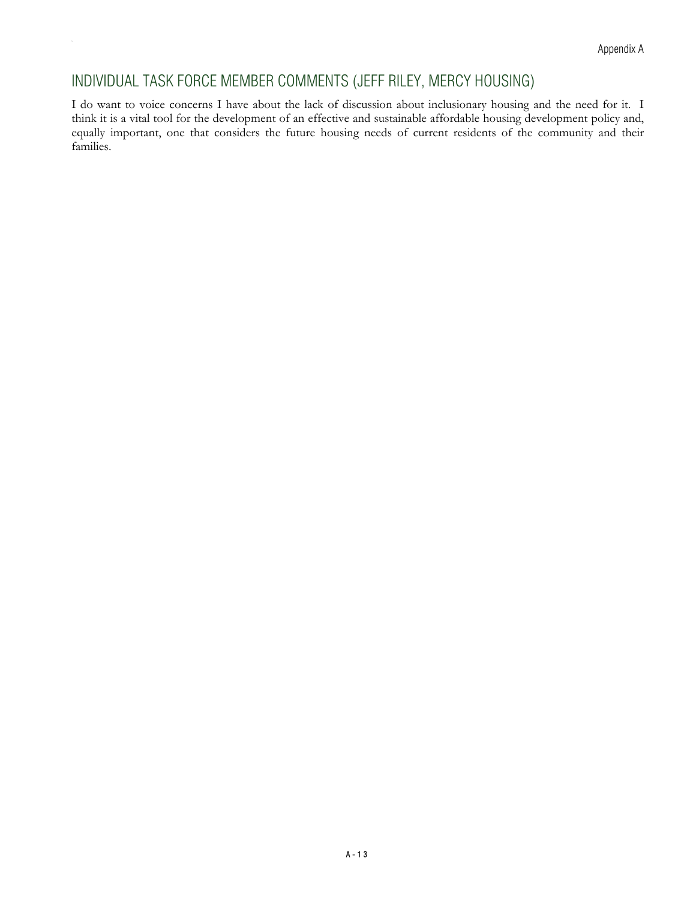## INDIVIDUAL TASK FORCE MEMBER COMMENTS (JEFF RILEY, MERCY HOUSING)

<span id="page-29-0"></span>Ap

I do want to voice concerns I have about the lack of discussion about inclusionary housing and the need for it. I think it is a vital tool for the development of an effective and sustainable affordable housing development policy and, equally important, one that considers the future housing needs of current residents of the community and their families.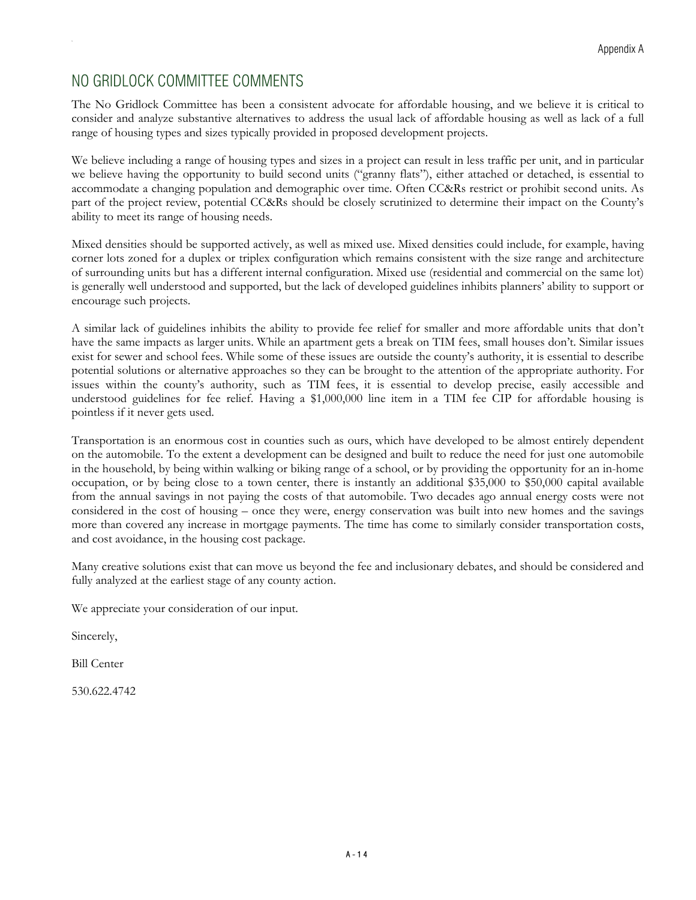# <span id="page-30-0"></span>NO GRIDLOCK COMMITTEE COMMENTS

The No Gridlock Committee has been a consistent advocate for affordable housing, and we believe it is critical to consider and analyze substantive alternatives to address the usual lack of affordable housing as well as lack of a full range of housing types and sizes typically provided in proposed development projects.

We believe including a range of housing types and sizes in a project can result in less traffic per unit, and in particular we believe having the opportunity to build second units ("granny flats"), either attached or detached, is essential to accommodate a changing population and demographic over time. Often CC&Rs restrict or prohibit second units. As part of the project review, potential CC&Rs should be closely scrutinized to determine their impact on the County's ability to meet its range of housing needs.

Mixed densities should be supported actively, as well as mixed use. Mixed densities could include, for example, having corner lots zoned for a duplex or triplex configuration which remains consistent with the size range and architecture of surrounding units but has a different internal configuration. Mixed use (residential and commercial on the same lot) is generally well understood and supported, but the lack of developed guidelines inhibits planners' ability to support or encourage such projects.

A similar lack of guidelines inhibits the ability to provide fee relief for smaller and more affordable units that don't have the same impacts as larger units. While an apartment gets a break on TIM fees, small houses don't. Similar issues exist for sewer and school fees. While some of these issues are outside the county's authority, it is essential to describe potential solutions or alternative approaches so they can be brought to the attention of the appropriate authority. For issues within the county's authority, such as TIM fees, it is essential to develop precise, easily accessible and understood guidelines for fee relief. Having a \$1,000,000 line item in a TIM fee CIP for affordable housing is pointless if it never gets used.

Transportation is an enormous cost in counties such as ours, which have developed to be almost entirely dependent on the automobile. To the extent a development can be designed and built to reduce the need for just one automobile in the household, by being within walking or biking range of a school, or by providing the opportunity for an in-home occupation, or by being close to a town center, there is instantly an additional \$35,000 to \$50,000 capital available from the annual savings in not paying the costs of that automobile. Two decades ago annual energy costs were not considered in the cost of housing – once they were, energy conservation was built into new homes and the savings more than covered any increase in mortgage payments. The time has come to similarly consider transportation costs, and cost avoidance, in the housing cost package.

Many creative solutions exist that can move us beyond the fee and inclusionary debates, and should be considered and fully analyzed at the earliest stage of any county action.

We appreciate your consideration of our input.

Sincerely,

Bill Center

530.622.4742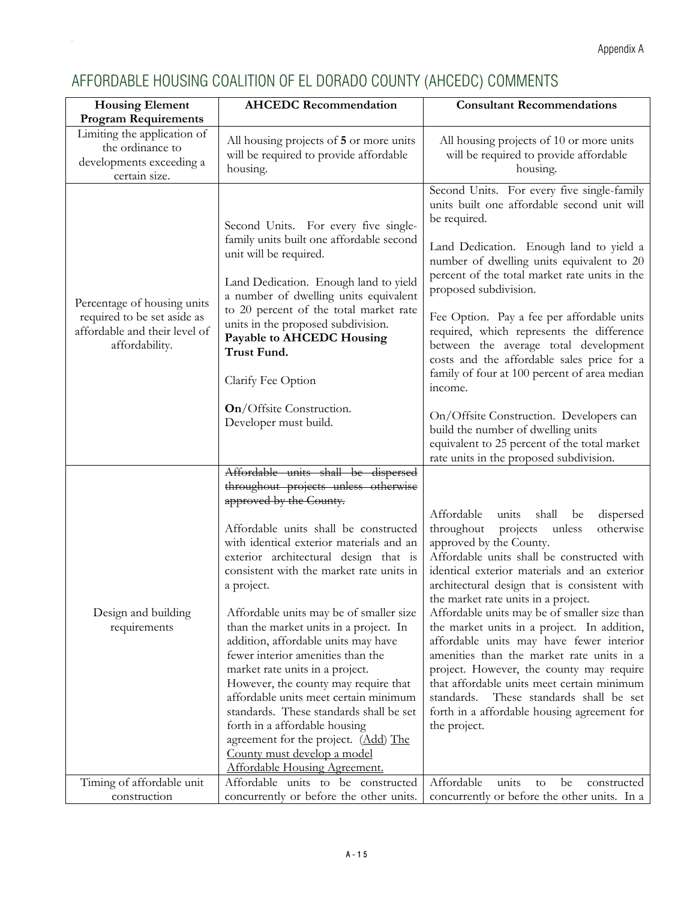# <span id="page-31-0"></span>AFFORDABLE HOUSING COALITION OF EL DORADO COUNTY (AHCEDC) COMMENTS

| <b>Housing Element</b>                                                                                        | <b>AHCEDC Recommendation</b>                                                                                                                                                                                                                                                                                                                                                                                                                                                                                                                                                                                                                                                                                                                                            | <b>Consultant Recommendations</b>                                                                                                                                                                                                                                                                                                                                                                                                                                                                                                                                                                                                                                                                                                                       |
|---------------------------------------------------------------------------------------------------------------|-------------------------------------------------------------------------------------------------------------------------------------------------------------------------------------------------------------------------------------------------------------------------------------------------------------------------------------------------------------------------------------------------------------------------------------------------------------------------------------------------------------------------------------------------------------------------------------------------------------------------------------------------------------------------------------------------------------------------------------------------------------------------|---------------------------------------------------------------------------------------------------------------------------------------------------------------------------------------------------------------------------------------------------------------------------------------------------------------------------------------------------------------------------------------------------------------------------------------------------------------------------------------------------------------------------------------------------------------------------------------------------------------------------------------------------------------------------------------------------------------------------------------------------------|
| <b>Program Requirements</b>                                                                                   |                                                                                                                                                                                                                                                                                                                                                                                                                                                                                                                                                                                                                                                                                                                                                                         |                                                                                                                                                                                                                                                                                                                                                                                                                                                                                                                                                                                                                                                                                                                                                         |
| Limiting the application of<br>the ordinance to<br>developments exceeding a<br>certain size.                  | All housing projects of 5 or more units<br>will be required to provide affordable<br>housing.                                                                                                                                                                                                                                                                                                                                                                                                                                                                                                                                                                                                                                                                           | All housing projects of 10 or more units<br>will be required to provide affordable<br>housing.                                                                                                                                                                                                                                                                                                                                                                                                                                                                                                                                                                                                                                                          |
| Percentage of housing units<br>required to be set aside as<br>affordable and their level of<br>affordability. | Second Units. For every five single-<br>family units built one affordable second<br>unit will be required.<br>Land Dedication. Enough land to yield<br>a number of dwelling units equivalent<br>to 20 percent of the total market rate<br>units in the proposed subdivision.<br>Payable to AHCEDC Housing<br>Trust Fund.<br>Clarify Fee Option<br>On/Offsite Construction.<br>Developer must build.                                                                                                                                                                                                                                                                                                                                                                     | Second Units. For every five single-family<br>units built one affordable second unit will<br>be required.<br>Land Dedication. Enough land to yield a<br>number of dwelling units equivalent to 20<br>percent of the total market rate units in the<br>proposed subdivision.<br>Fee Option. Pay a fee per affordable units<br>required, which represents the difference<br>between the average total development<br>costs and the affordable sales price for a<br>family of four at 100 percent of area median<br>income.<br>On/Offsite Construction. Developers can<br>build the number of dwelling units<br>equivalent to 25 percent of the total market                                                                                               |
| Design and building<br>requirements                                                                           | Affordable units shall be dispersed<br>throughout projects unless otherwise<br>approved by the County.<br>Affordable units shall be constructed<br>with identical exterior materials and an<br>exterior architectural design that is<br>consistent with the market rate units in<br>a project.<br>Affordable units may be of smaller size<br>than the market units in a project. In<br>addition, affordable units may have<br>fewer interior amenities than the<br>market rate units in a project.<br>However, the county may require that<br>affordable units meet certain minimum<br>standards. These standards shall be set<br>forth in a affordable housing<br>agreement for the project. (Add) The<br>County must develop a model<br>Affordable Housing Agreement. | rate units in the proposed subdivision.<br>Affordable<br>units<br>shall<br>dispersed<br>be<br>throughout projects<br>otherwise<br>unless<br>approved by the County.<br>Affordable units shall be constructed with<br>identical exterior materials and an exterior<br>architectural design that is consistent with<br>the market rate units in a project.<br>Affordable units may be of smaller size than<br>the market units in a project. In addition,<br>affordable units may have fewer interior<br>amenities than the market rate units in a<br>project. However, the county may require<br>that affordable units meet certain minimum<br>These standards shall be set<br>standards.<br>forth in a affordable housing agreement for<br>the project. |
| Timing of affordable unit                                                                                     | Affordable units to be constructed                                                                                                                                                                                                                                                                                                                                                                                                                                                                                                                                                                                                                                                                                                                                      | Affordable<br>units<br>be<br>to<br>constructed                                                                                                                                                                                                                                                                                                                                                                                                                                                                                                                                                                                                                                                                                                          |
| construction                                                                                                  | concurrently or before the other units.                                                                                                                                                                                                                                                                                                                                                                                                                                                                                                                                                                                                                                                                                                                                 | concurrently or before the other units. In a                                                                                                                                                                                                                                                                                                                                                                                                                                                                                                                                                                                                                                                                                                            |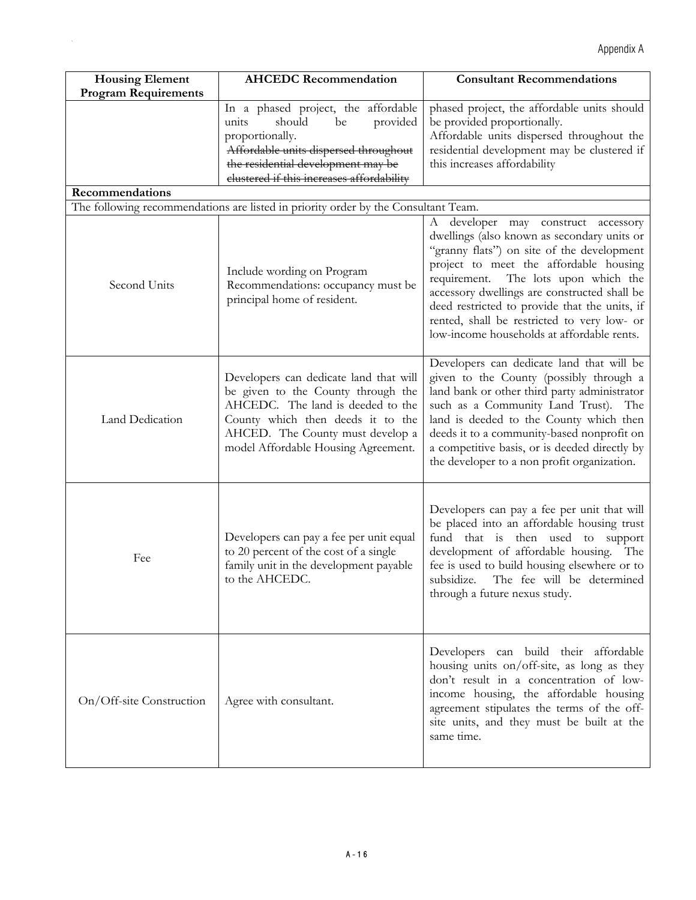| <b>Housing Element</b>      | <b>AHCEDC Recommendation</b>                                                                                                                                                                                                                                                                                  | <b>Consultant Recommendations</b>                                                                                                                                                                                                                                                                                                                                         |
|-----------------------------|---------------------------------------------------------------------------------------------------------------------------------------------------------------------------------------------------------------------------------------------------------------------------------------------------------------|---------------------------------------------------------------------------------------------------------------------------------------------------------------------------------------------------------------------------------------------------------------------------------------------------------------------------------------------------------------------------|
| <b>Program Requirements</b> |                                                                                                                                                                                                                                                                                                               |                                                                                                                                                                                                                                                                                                                                                                           |
| Recommendations             | In a phased project, the affordable<br>should<br>provided<br>be<br>units<br>proportionally.<br>Affordable units dispersed throughout<br>the residential development may be<br>clustered if this increases affordability<br>The following recommendations are listed in priority order by the Consultant Team. | phased project, the affordable units should<br>be provided proportionally.<br>Affordable units dispersed throughout the<br>residential development may be clustered if<br>this increases affordability                                                                                                                                                                    |
|                             |                                                                                                                                                                                                                                                                                                               | developer<br>may construct accessory<br>А                                                                                                                                                                                                                                                                                                                                 |
| Second Units                | Include wording on Program<br>Recommendations: occupancy must be<br>principal home of resident.                                                                                                                                                                                                               | dwellings (also known as secondary units or<br>"granny flats") on site of the development<br>project to meet the affordable housing<br>requirement. The lots upon which the<br>accessory dwellings are constructed shall be<br>deed restricted to provide that the units, if<br>rented, shall be restricted to very low- or<br>low-income households at affordable rents. |
| Land Dedication             | Developers can dedicate land that will<br>be given to the County through the<br>AHCEDC. The land is deeded to the<br>County which then deeds it to the<br>AHCED. The County must develop a<br>model Affordable Housing Agreement.                                                                             | Developers can dedicate land that will be<br>given to the County (possibly through a<br>land bank or other third party administrator<br>such as a Community Land Trust). The<br>land is deeded to the County which then<br>deeds it to a community-based nonprofit on<br>a competitive basis, or is deeded directly by<br>the developer to a non profit organization.     |
| Fee                         | Developers can pay a fee per unit equal<br>to 20 percent of the cost of a single<br>family unit in the development payable<br>to the AHCEDC.                                                                                                                                                                  | Developers can pay a fee per unit that will<br>be placed into an affordable housing trust<br>fund that is then used to support<br>development of affordable housing. The<br>fee is used to build housing elsewhere or to<br>subsidize. The fee will be determined<br>through a future nexus study.                                                                        |
| On/Off-site Construction    | Agree with consultant.                                                                                                                                                                                                                                                                                        | Developers can build their affordable<br>housing units on/off-site, as long as they<br>don't result in a concentration of low-<br>income housing, the affordable housing<br>agreement stipulates the terms of the off-<br>site units, and they must be built at the<br>same time.                                                                                         |